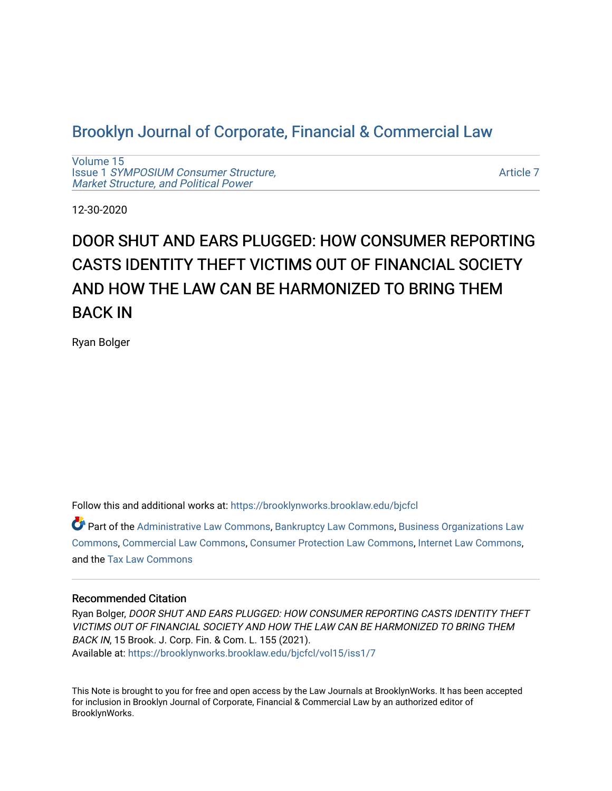# [Brooklyn Journal of Corporate, Financial & Commercial Law](https://brooklynworks.brooklaw.edu/bjcfcl)

[Volume 15](https://brooklynworks.brooklaw.edu/bjcfcl/vol15) Issue 1 [SYMPOSIUM Consumer Structure,](https://brooklynworks.brooklaw.edu/bjcfcl/vol15/iss1) [Market Structure, and Political Power](https://brooklynworks.brooklaw.edu/bjcfcl/vol15/iss1)

[Article 7](https://brooklynworks.brooklaw.edu/bjcfcl/vol15/iss1/7) 

12-30-2020

# DOOR SHUT AND EARS PLUGGED: HOW CONSUMER REPORTING CASTS IDENTITY THEFT VICTIMS OUT OF FINANCIAL SOCIETY AND HOW THE LAW CAN BE HARMONIZED TO BRING THEM BACK IN

Ryan Bolger

Follow this and additional works at: [https://brooklynworks.brooklaw.edu/bjcfcl](https://brooklynworks.brooklaw.edu/bjcfcl?utm_source=brooklynworks.brooklaw.edu%2Fbjcfcl%2Fvol15%2Fiss1%2F7&utm_medium=PDF&utm_campaign=PDFCoverPages)

Part of the [Administrative Law Commons,](http://network.bepress.com/hgg/discipline/579?utm_source=brooklynworks.brooklaw.edu%2Fbjcfcl%2Fvol15%2Fiss1%2F7&utm_medium=PDF&utm_campaign=PDFCoverPages) [Bankruptcy Law Commons,](http://network.bepress.com/hgg/discipline/583?utm_source=brooklynworks.brooklaw.edu%2Fbjcfcl%2Fvol15%2Fiss1%2F7&utm_medium=PDF&utm_campaign=PDFCoverPages) [Business Organizations Law](http://network.bepress.com/hgg/discipline/900?utm_source=brooklynworks.brooklaw.edu%2Fbjcfcl%2Fvol15%2Fiss1%2F7&utm_medium=PDF&utm_campaign=PDFCoverPages) [Commons](http://network.bepress.com/hgg/discipline/900?utm_source=brooklynworks.brooklaw.edu%2Fbjcfcl%2Fvol15%2Fiss1%2F7&utm_medium=PDF&utm_campaign=PDFCoverPages), [Commercial Law Commons,](http://network.bepress.com/hgg/discipline/586?utm_source=brooklynworks.brooklaw.edu%2Fbjcfcl%2Fvol15%2Fiss1%2F7&utm_medium=PDF&utm_campaign=PDFCoverPages) [Consumer Protection Law Commons,](http://network.bepress.com/hgg/discipline/838?utm_source=brooklynworks.brooklaw.edu%2Fbjcfcl%2Fvol15%2Fiss1%2F7&utm_medium=PDF&utm_campaign=PDFCoverPages) [Internet Law Commons](http://network.bepress.com/hgg/discipline/892?utm_source=brooklynworks.brooklaw.edu%2Fbjcfcl%2Fvol15%2Fiss1%2F7&utm_medium=PDF&utm_campaign=PDFCoverPages), and the [Tax Law Commons](http://network.bepress.com/hgg/discipline/898?utm_source=brooklynworks.brooklaw.edu%2Fbjcfcl%2Fvol15%2Fiss1%2F7&utm_medium=PDF&utm_campaign=PDFCoverPages) 

#### Recommended Citation

Ryan Bolger, DOOR SHUT AND EARS PLUGGED: HOW CONSUMER REPORTING CASTS IDENTITY THEFT VICTIMS OUT OF FINANCIAL SOCIETY AND HOW THE LAW CAN BE HARMONIZED TO BRING THEM BACK IN, 15 Brook. J. Corp. Fin. & Com. L. 155 (2021). Available at: [https://brooklynworks.brooklaw.edu/bjcfcl/vol15/iss1/7](https://brooklynworks.brooklaw.edu/bjcfcl/vol15/iss1/7?utm_source=brooklynworks.brooklaw.edu%2Fbjcfcl%2Fvol15%2Fiss1%2F7&utm_medium=PDF&utm_campaign=PDFCoverPages)

This Note is brought to you for free and open access by the Law Journals at BrooklynWorks. It has been accepted for inclusion in Brooklyn Journal of Corporate, Financial & Commercial Law by an authorized editor of BrooklynWorks.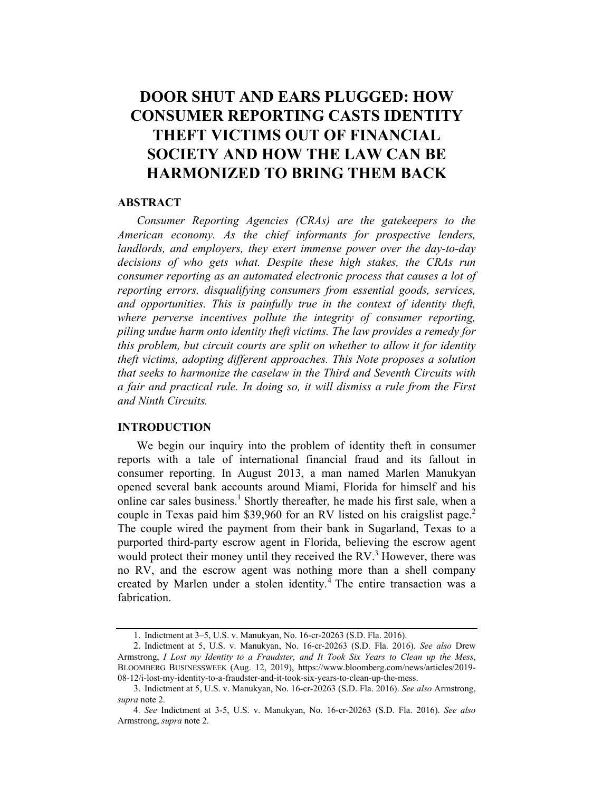# DOOR SHUT AND EARS PLUGGED: HOW **CONSUMER REPORTING CASTS IDENTITY** THEFT VICTIMS OUT OF FINANCIAL SOCIETY AND HOW THE LAW CAN BE **HARMONIZED TO BRING THEM BACK**

#### **ABSTRACT**

Consumer Reporting Agencies (CRAs) are the gatekeepers to the American economy. As the chief informants for prospective lenders, landlords, and employers, they exert immense power over the day-to-day decisions of who gets what. Despite these high stakes, the CRAs run consumer reporting as an automated electronic process that causes a lot of reporting errors, disqualifying consumers from essential goods, services, and opportunities. This is painfully true in the context of identity theft, where perverse incentives pollute the integrity of consumer reporting, piling undue harm onto identity theft victims. The law provides a remedy for this problem, but circuit courts are split on whether to allow it for identity theft victims, adopting different approaches. This Note proposes a solution that seeks to harmonize the caselaw in the Third and Seventh Circuits with a fair and practical rule. In doing so, it will dismiss a rule from the First and Ninth Circuits.

#### INTRODUCTION

We begin our inquiry into the problem of identity theft in consumer reports with a tale of international financial fraud and its fallout in consumer reporting. In August 2013, a man named Marlen Manukyan opened several bank accounts around Miami, Florida for himself and his online car sales business.<sup>1</sup> Shortly thereafter, he made his first sale, when a couple in Texas paid him \$39,960 for an RV listed on his craigslist page.<sup>2</sup> The couple wired the payment from their bank in Sugarland, Texas to a purported third-party escrow agent in Florida, believing the escrow agent would protect their money until they received the  $RV<sup>3</sup>$  However, there was no RV, and the escrow agent was nothing more than a shell company created by Marlen under a stolen identity.<sup>4</sup> The entire transaction was a fabrication.

<sup>1.</sup> Indictment at 3–5, U.S. v. Manukyan, No. 16-cr-20263 (S.D. Fla. 2016).

<sup>2.</sup> Indictment at 5, U.S. v. Manukyan, No. 16-cr-20263 (S.D. Fla. 2016). See also Drew Armstrong, I Lost my Identity to a Fraudster, and It Took Six Years to Clean up the Mess, BLOOMBERG BUSINESSWEEK (Aug. 12, 2019), https://www.bloomberg.com/news/articles/2019- 08-12/i-lost-my-identity-to-a-fraudster-and-it-took-six-years-to-clean-up-the-mess.

<sup>3.</sup> Indictment at 5, U.S. v. Manukyan, No. 16-cr-20263 (S.D. Fla. 2016). See also Armstrong, supra note 2.

<sup>4</sup>. See Indictment at 3-5, U.S. v. Manukyan, No. 16-cr-20263 (S.D. Fla. 2016). See also Armstrong, supra note 2.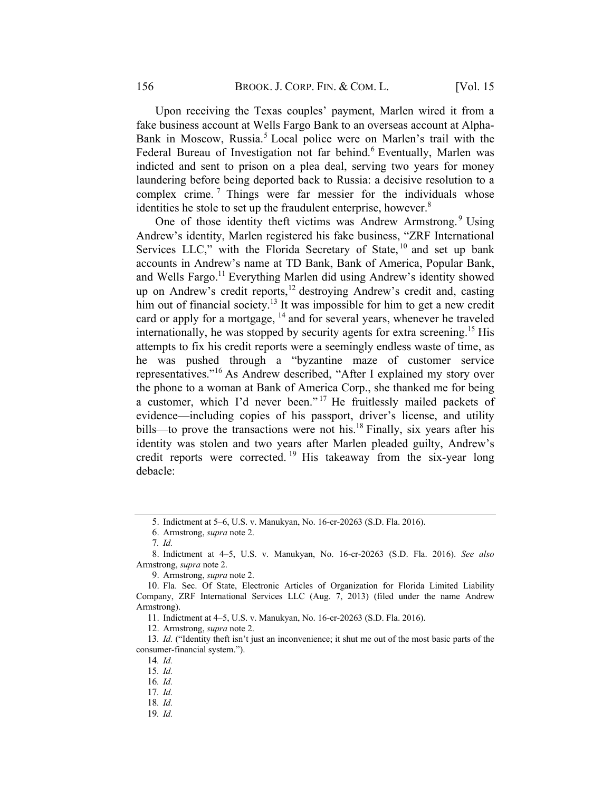Upon receiving the Texas couples' payment, Marlen wired it from a fake business account at Wells Fargo Bank to an overseas account at Alpha-Bank in Moscow, Russia.<sup>5</sup> Local police were on Marlen's trail with the Federal Bureau of Investigation not far behind.<sup>6</sup> Eventually, Marlen was indicted and sent to prison on a plea deal, serving two years for money laundering before being deported back to Russia: a decisive resolution to a complex crime.<sup>7</sup> Things were far messier for the individuals whose identities he stole to set up the fraudulent enterprise, however. $8$ 

One of those identity theft victims was Andrew Armstrong.<sup>9</sup> Using Andrew's identity, Marlen registered his fake business, "ZRF International Services LLC," with the Florida Secretary of State, <sup>10</sup> and set up bank accounts in Andrew's name at TD Bank, Bank of America, Popular Bank, and Wells Fargo.<sup>11</sup> Everything Marlen did using Andrew's identity showed up on Andrew's credit reports, <sup>12</sup> destroying Andrew's credit and, casting him out of financial society.<sup>13</sup> It was impossible for him to get a new credit card or apply for a mortgage, <sup>14</sup> and for several years, whenever he traveled internationally, he was stopped by security agents for extra screening.<sup>15</sup> His attempts to fix his credit reports were a seemingly endless waste of time, as he was pushed through a "byzantine maze of customer service representatives."<sup>16</sup> As Andrew described, "After I explained my story over the phone to a woman at Bank of America Corp., she thanked me for being a customer, which I'd never been." <sup>17</sup> He fruitlessly mailed packets of evidence—including copies of his passport, driver's license, and utility bills—to prove the transactions were not his.<sup>18</sup> Finally, six years after his identity was stolen and two years after Marlen pleaded guilty, Andrew's credit reports were corrected.<sup>19</sup> His takeaway from the six-year long debacle:

9. Armstrong, supra note 2.

12. Armstrong, supra note 2.

<sup>5.</sup> Indictment at 5–6, U.S. v. Manukyan, No. 16-cr-20263 (S.D. Fla. 2016).

<sup>6.</sup> Armstrong, supra note 2.

<sup>7</sup>. Id.

<sup>8.</sup> Indictment at 4–5, U.S. v. Manukyan, No. 16-cr-20263 (S.D. Fla. 2016). See also Armstrong, supra note 2.

<sup>10.</sup> Fla. Sec. Of State, Electronic Articles of Organization for Florida Limited Liability Company, ZRF International Services LLC (Aug. 7, 2013) (filed under the name Andrew Armstrong).

<sup>11.</sup> Indictment at 4–5, U.S. v. Manukyan, No. 16-cr-20263 (S.D. Fla. 2016).

<sup>13</sup>. Id. ("Identity theft isn't just an inconvenience; it shut me out of the most basic parts of the consumer-financial system.").

<sup>14</sup>. Id.

<sup>15</sup>. Id.

<sup>16</sup>. Id.

<sup>17</sup>. Id.

<sup>18</sup>. Id.

<sup>19</sup>. Id.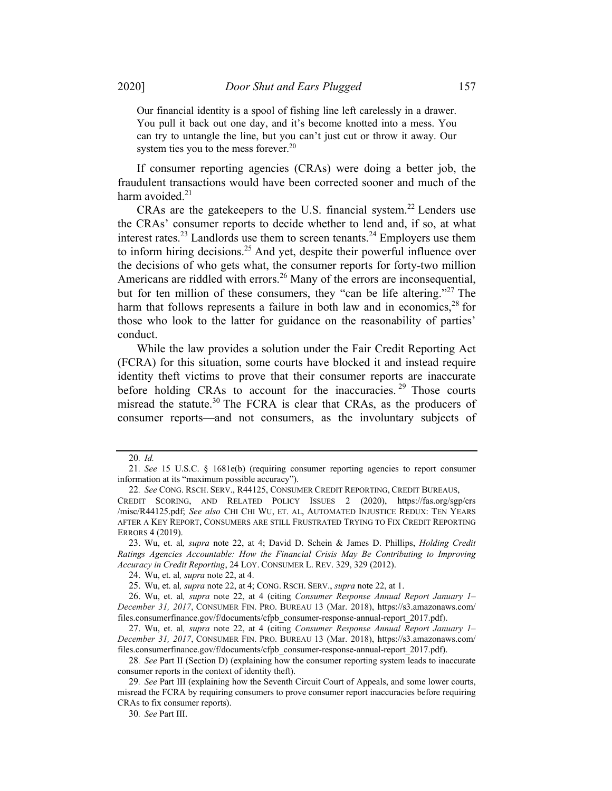Our financial identity is a spool of fishing line left carelessly in a drawer. You pull it back out one day, and it's become knotted into a mess. You can try to untangle the line, but you can't just cut or throw it away. Our system ties you to the mess forever. $20$ 

If consumer reporting agencies (CRAs) were doing a better job, the fraudulent transactions would have been corrected sooner and much of the harm avoided. $2<sup>1</sup>$ 

CRAs are the gatekeepers to the U.S. financial system.<sup>22</sup> Lenders use the CRAs' consumer reports to decide whether to lend and, if so, at what interest rates.<sup>23</sup> Landlords use them to screen tenants.<sup>24</sup> Employers use them to inform hiring decisions.<sup>25</sup> And yet, despite their powerful influence over the decisions of who gets what, the consumer reports for forty-two million Americans are riddled with errors.<sup>26</sup> Many of the errors are inconsequential, but for ten million of these consumers, they "can be life altering."<sup>27</sup> The harm that follows represents a failure in both law and in economics,  $28$  for those who look to the latter for guidance on the reasonability of parties' conduct.

While the law provides a solution under the Fair Credit Reporting Act (FCRA) for this situation, some courts have blocked it and instead require identity theft victims to prove that their consumer reports are inaccurate before holding CRAs to account for the inaccuracies.<sup>29</sup> Those courts misread the statute.<sup>30</sup> The FCRA is clear that CRAs, as the producers of consumer reports—and not consumers, as the involuntary subjects of

<sup>20</sup>. Id.

<sup>21</sup>. See 15 U.S.C. § 1681e(b) (requiring consumer reporting agencies to report consumer information at its "maximum possible accuracy").

<sup>22</sup>. See CONG. RSCH. SERV., R44125, CONSUMER CREDIT REPORTING, CREDIT BUREAUS,

CREDIT SCORING, AND RELATED POLICY ISSUES 2 (2020), https://fas.org/sgp/crs /misc/R44125.pdf; See also CHI CHI WU, ET. AL, AUTOMATED INJUSTICE REDUX: TEN YEARS AFTER A KEY REPORT, CONSUMERS ARE STILL FRUSTRATED TRYING TO FIX CREDIT REPORTING ERRORS 4 (2019).

<sup>23.</sup> Wu, et. al, supra note 22, at 4; David D. Schein & James D. Phillips, Holding Credit Ratings Agencies Accountable: How the Financial Crisis May Be Contributing to Improving Accuracy in Credit Reporting, 24 LOY. CONSUMER L. REV. 329, 329 (2012).

<sup>24.</sup> Wu, et. al, supra note 22, at 4.

<sup>25.</sup> Wu, et. al, supra note 22, at 4; CONG. RSCH. SERV., supra note 22, at 1.

<sup>26.</sup> Wu, et. al, supra note 22, at 4 (citing Consumer Response Annual Report January 1– December 31, 2017, CONSUMER FIN. PRO. BUREAU 13 (Mar. 2018), https://s3.amazonaws.com/ files.consumerfinance.gov/f/documents/cfpb\_consumer-response-annual-report\_2017.pdf).

<sup>27.</sup> Wu, et. al, supra note 22, at 4 (citing Consumer Response Annual Report January 1-December 31, 2017, CONSUMER FIN. PRO. BUREAU 13 (Mar. 2018), https://s3.amazonaws.com/ files.consumerfinance.gov/f/documents/cfpb\_consumer-response-annual-report\_2017.pdf).

<sup>28</sup>. See Part II (Section D) (explaining how the consumer reporting system leads to inaccurate consumer reports in the context of identity theft).

<sup>29</sup>. See Part III (explaining how the Seventh Circuit Court of Appeals, and some lower courts, misread the FCRA by requiring consumers to prove consumer report inaccuracies before requiring CRAs to fix consumer reports).

<sup>30</sup>. See Part III.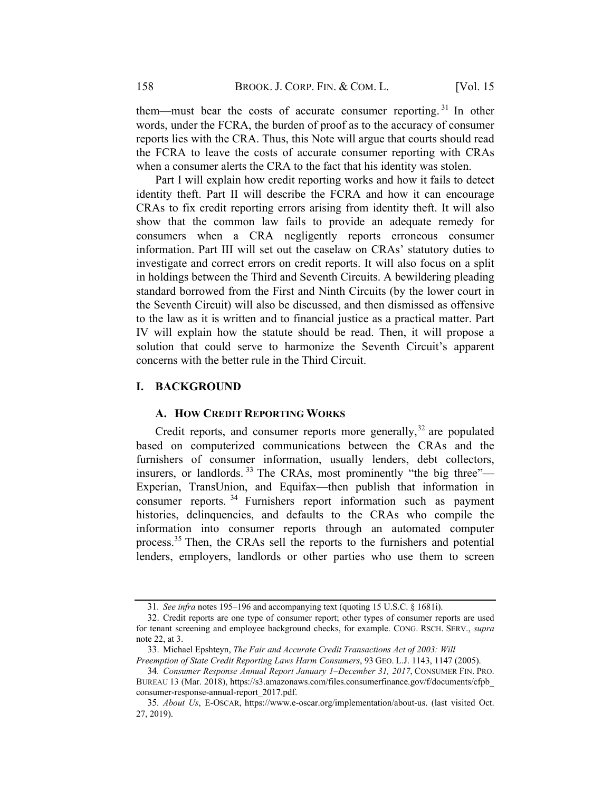them—must bear the costs of accurate consumer reporting.<sup>31</sup> In other words, under the FCRA, the burden of proof as to the accuracy of consumer reports lies with the CRA. Thus, this Note will argue that courts should read the FCRA to leave the costs of accurate consumer reporting with CRAs when a consumer alerts the CRA to the fact that his identity was stolen.

Part I will explain how credit reporting works and how it fails to detect identity theft. Part II will describe the FCRA and how it can encourage CRAs to fix credit reporting errors arising from identity theft. It will also show that the common law fails to provide an adequate remedy for consumers when a CRA negligently reports erroneous consumer information. Part III will set out the caselaw on CRAs' statutory duties to investigate and correct errors on credit reports. It will also focus on a split in holdings between the Third and Seventh Circuits. A bewildering pleading standard borrowed from the First and Ninth Circuits (by the lower court in the Seventh Circuit) will also be discussed, and then dismissed as offensive to the law as it is written and to financial justice as a practical matter. Part IV will explain how the statute should be read. Then, it will propose a solution that could serve to harmonize the Seventh Circuit's apparent concerns with the better rule in the Third Circuit.

#### I. BACKGROUND

#### A. HOW CREDIT REPORTING WORKS

Credit reports, and consumer reports more generally,  $32$  are populated based on computerized communications between the CRAs and the furnishers of consumer information, usually lenders, debt collectors, insurers, or landlords.<sup>33</sup> The CRAs, most prominently "the big three"— Experian, TransUnion, and Equifax—then publish that information in consumer reports. <sup>34</sup> Furnishers report information such as payment histories, delinquencies, and defaults to the CRAs who compile the information into consumer reports through an automated computer process.<sup>35</sup> Then, the CRAs sell the reports to the furnishers and potential lenders, employers, landlords or other parties who use them to screen

<sup>31</sup>. See infra notes 195–196 and accompanying text (quoting 15 U.S.C. § 1681i).

<sup>32.</sup> Credit reports are one type of consumer report; other types of consumer reports are used for tenant screening and employee background checks, for example. CONG. RSCH. SERV., supra note 22, at 3.

<sup>33.</sup> Michael Epshteyn, The Fair and Accurate Credit Transactions Act of 2003: Will

Preemption of State Credit Reporting Laws Harm Consumers, 93 GEO. L.J. 1143, 1147 (2005). 34. Consumer Response Annual Report January 1–December 31, 2017, CONSUMER FIN. PRO.

BUREAU 13 (Mar. 2018), https://s3.amazonaws.com/files.consumerfinance.gov/f/documents/cfpb\_ consumer-response-annual-report\_2017.pdf.

<sup>35</sup>. About Us, E-OSCAR, https://www.e-oscar.org/implementation/about-us. (last visited Oct. 27, 2019).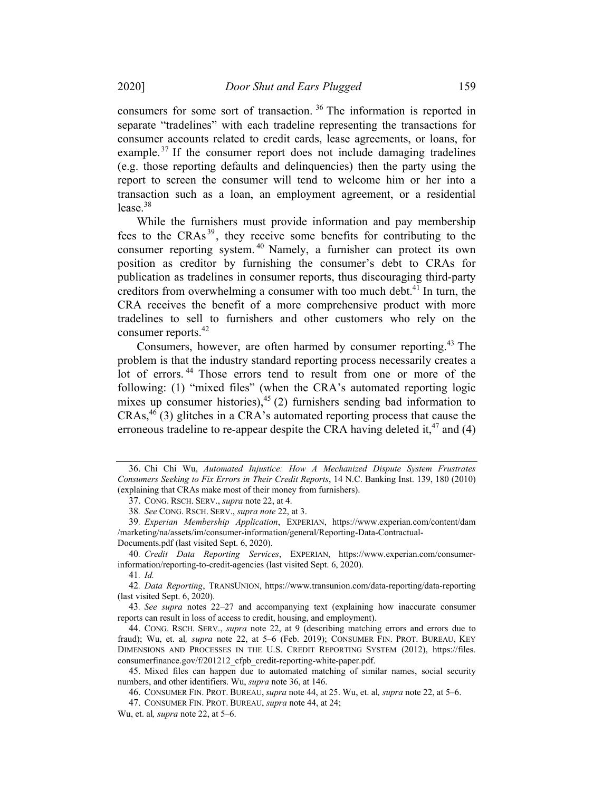consumers for some sort of transaction. <sup>36</sup> The information is reported in separate "tradelines" with each tradeline representing the transactions for consumer accounts related to credit cards, lease agreements, or loans, for example.<sup>37</sup> If the consumer report does not include damaging tradelines (e.g. those reporting defaults and delinquencies) then the party using the report to screen the consumer will tend to welcome him or her into a transaction such as a loan, an employment agreement, or a residential lease. $38$ 

While the furnishers must provide information and pay membership fees to the CRAs<sup>39</sup>, they receive some benefits for contributing to the consumer reporting system. <sup>40</sup> Namely, a furnisher can protect its own position as creditor by furnishing the consumer's debt to CRAs for publication as tradelines in consumer reports, thus discouraging third-party creditors from overwhelming a consumer with too much debt.<sup>41</sup> In turn, the CRA receives the benefit of a more comprehensive product with more tradelines to sell to furnishers and other customers who rely on the consumer reports.<sup>42</sup>

Consumers, however, are often harmed by consumer reporting.<sup>43</sup> The problem is that the industry standard reporting process necessarily creates a lot of errors. <sup>44</sup> Those errors tend to result from one or more of the following: (1) "mixed files" (when the CRA's automated reporting logic mixes up consumer histories), $45$  (2) furnishers sending bad information to  $CRAs<sup>46</sup>$  (3) glitches in a CRA's automated reporting process that cause the erroneous tradeline to re-appear despite the CRA having deleted it,  $47$  and (4)

<sup>36.</sup> Chi Chi Wu, Automated Injustice: How A Mechanized Dispute System Frustrates Consumers Seeking to Fix Errors in Their Credit Reports, 14 N.C. Banking Inst. 139, 180 (2010) (explaining that CRAs make most of their money from furnishers).

<sup>37.</sup> CONG. RSCH. SERV., supra note 22, at 4.

<sup>38</sup>. See CONG. RSCH. SERV., supra note 22, at 3.

<sup>39</sup>. Experian Membership Application, EXPERIAN, https://www.experian.com/content/dam /marketing/na/assets/im/consumer-information/general/Reporting-Data-Contractual-Documents.pdf (last visited Sept. 6, 2020).

<sup>40</sup>. Credit Data Reporting Services, EXPERIAN, https://www.experian.com/consumerinformation/reporting-to-credit-agencies (last visited Sept. 6, 2020).

<sup>41</sup>. Id.

<sup>42</sup>. Data Reporting, TRANSUNION, https://www.transunion.com/data-reporting/data-reporting (last visited Sept. 6, 2020).

<sup>43</sup>. See supra notes 22–27 and accompanying text (explaining how inaccurate consumer reports can result in loss of access to credit, housing, and employment).

<sup>44.</sup> CONG. RSCH. SERV., supra note 22, at 9 (describing matching errors and errors due to fraud); Wu, et. al, *supra* note 22, at 5–6 (Feb. 2019); CONSUMER FIN. PROT. BUREAU, KEY DIMENSIONS AND PROCESSES IN THE U.S. CREDIT REPORTING SYSTEM (2012), https://files. consumerfinance.gov/f/201212\_cfpb\_credit-reporting-white-paper.pdf.

<sup>45.</sup> Mixed files can happen due to automated matching of similar names, social security numbers, and other identifiers. Wu, supra note 36, at 146.

<sup>46.</sup> CONSUMER FIN. PROT. BUREAU, supra note 44, at 25. Wu, et. al, supra note 22, at 5–6.

<sup>47.</sup> CONSUMER FIN. PROT. BUREAU, supra note 44, at 24;

Wu, et. al, supra note 22, at 5–6.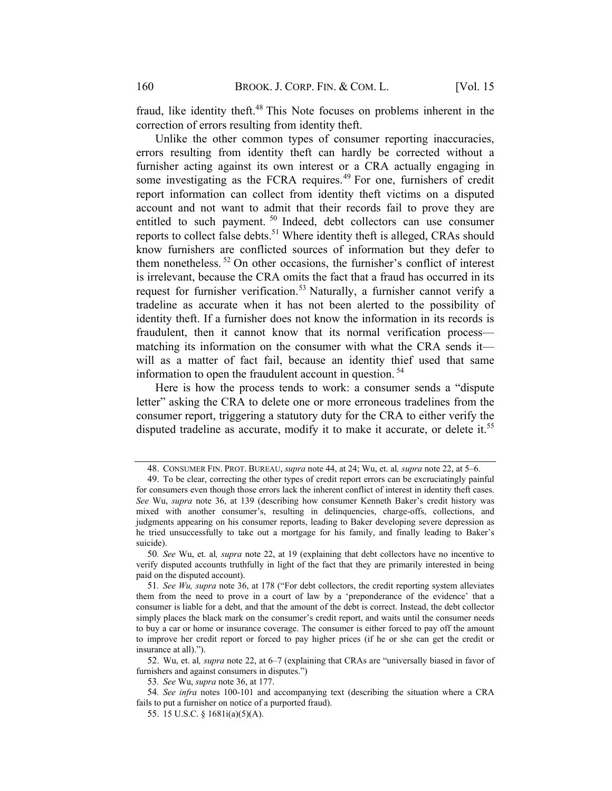fraud, like identity theft.<sup>48</sup> This Note focuses on problems inherent in the correction of errors resulting from identity theft.

Unlike the other common types of consumer reporting inaccuracies, errors resulting from identity theft can hardly be corrected without a furnisher acting against its own interest or a CRA actually engaging in some investigating as the FCRA requires.<sup>49</sup> For one, furnishers of credit report information can collect from identity theft victims on a disputed account and not want to admit that their records fail to prove they are entitled to such payment.<sup>50</sup> Indeed, debt collectors can use consumer reports to collect false debts.<sup>51</sup> Where identity theft is alleged, CRAs should know furnishers are conflicted sources of information but they defer to them nonetheless.  $52$  On other occasions, the furnisher's conflict of interest is irrelevant, because the CRA omits the fact that a fraud has occurred in its request for furnisher verification.<sup>53</sup> Naturally, a furnisher cannot verify a tradeline as accurate when it has not been alerted to the possibility of identity theft. If a furnisher does not know the information in its records is fraudulent, then it cannot know that its normal verification process matching its information on the consumer with what the CRA sends it will as a matter of fact fail, because an identity thief used that same information to open the fraudulent account in question. <sup>54</sup>

Here is how the process tends to work: a consumer sends a "dispute letter" asking the CRA to delete one or more erroneous tradelines from the consumer report, triggering a statutory duty for the CRA to either verify the disputed tradeline as accurate, modify it to make it accurate, or delete it.<sup>55</sup>

52. Wu, et. al, supra note 22, at 6–7 (explaining that CRAs are "universally biased in favor of furnishers and against consumers in disputes.")

53. See Wu, supra note 36, at 177.

<sup>48.</sup> CONSUMER FIN. PROT. BUREAU, *supra* note 44, at 24; Wu, et. al, *supra* note 22, at 5–6.

<sup>49.</sup> To be clear, correcting the other types of credit report errors can be excruciatingly painful for consumers even though those errors lack the inherent conflict of interest in identity theft cases. See Wu, supra note 36, at 139 (describing how consumer Kenneth Baker's credit history was mixed with another consumer's, resulting in delinquencies, charge-offs, collections, and judgments appearing on his consumer reports, leading to Baker developing severe depression as he tried unsuccessfully to take out a mortgage for his family, and finally leading to Baker's suicide).

<sup>50</sup>. See Wu, et. al, supra note 22, at 19 (explaining that debt collectors have no incentive to verify disputed accounts truthfully in light of the fact that they are primarily interested in being paid on the disputed account).

<sup>51.</sup> See  $W_u$ , supra note 36, at 178 ("For debt collectors, the credit reporting system alleviates them from the need to prove in a court of law by a 'preponderance of the evidence' that a consumer is liable for a debt, and that the amount of the debt is correct. Instead, the debt collector simply places the black mark on the consumer's credit report, and waits until the consumer needs to buy a car or home or insurance coverage. The consumer is either forced to pay off the amount to improve her credit report or forced to pay higher prices (if he or she can get the credit or insurance at all).").

<sup>54</sup>. See infra notes 100-101 and accompanying text (describing the situation where a CRA fails to put a furnisher on notice of a purported fraud).

<sup>55.</sup> 15 U.S.C. § 1681i(a)(5)(A).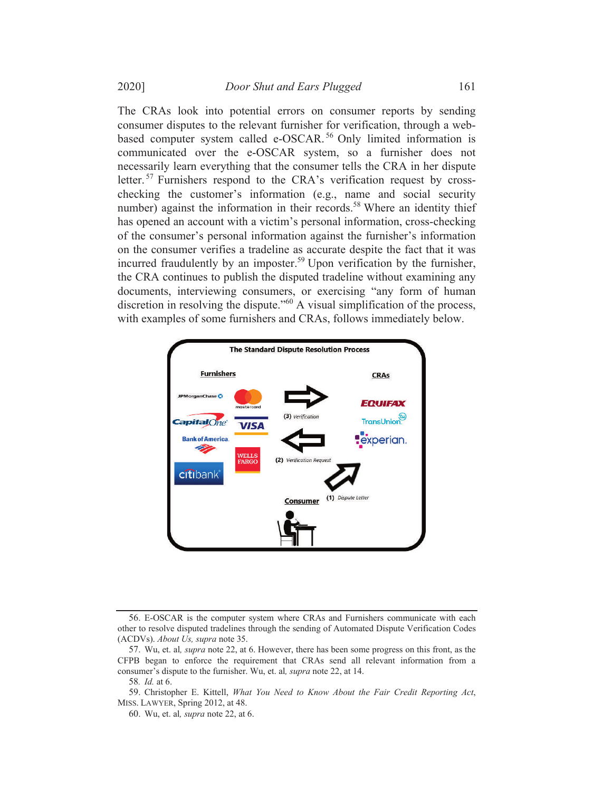The CRAs look into potential errors on consumer reports by sending consumer disputes to the relevant furnisher for verification, through a webbased computer system called e-OSCAR.<sup>56</sup> Only limited information is communicated over the e-OSCAR system, so a furnisher does not necessarily learn everything that the consumer tells the CRA in her dispute letter. <sup>57</sup> Furnishers respond to the CRA's verification request by crosschecking the customer's information (e.g., name and social security number) against the information in their records.<sup>58</sup> Where an identity thief has opened an account with a victim's personal information, cross-checking of the consumer's personal information against the furnisher's information on the consumer verifies a tradeline as accurate despite the fact that it was incurred fraudulently by an imposter.<sup>59</sup> Upon verification by the furnisher, the CRA continues to publish the disputed tradeline without examining any documents, interviewing consumers, or exercising "any form of human discretion in resolving the dispute."<sup>60</sup> A visual simplification of the process, with examples of some furnishers and CRAs, follows immediately below.



<sup>56.</sup> E-OSCAR is the computer system where CRAs and Furnishers communicate with each other to resolve disputed tradelines through the sending of Automated Dispute Verification Codes (ACDVs). About Us, supra note 35.

<sup>57.</sup> Wu, et. al, supra note 22, at 6. However, there has been some progress on this front, as the CFPB began to enforce the requirement that CRAs send all relevant information from a consumer's dispute to the furnisher. Wu, et. al, supra note 22, at 14.

<sup>58</sup>. Id. at 6.

<sup>59.</sup> Christopher E. Kittell, What You Need to Know About the Fair Credit Reporting Act, MISS. LAWYER, Spring 2012, at 48.

<sup>60.</sup> Wu, et. al, supra note 22, at 6.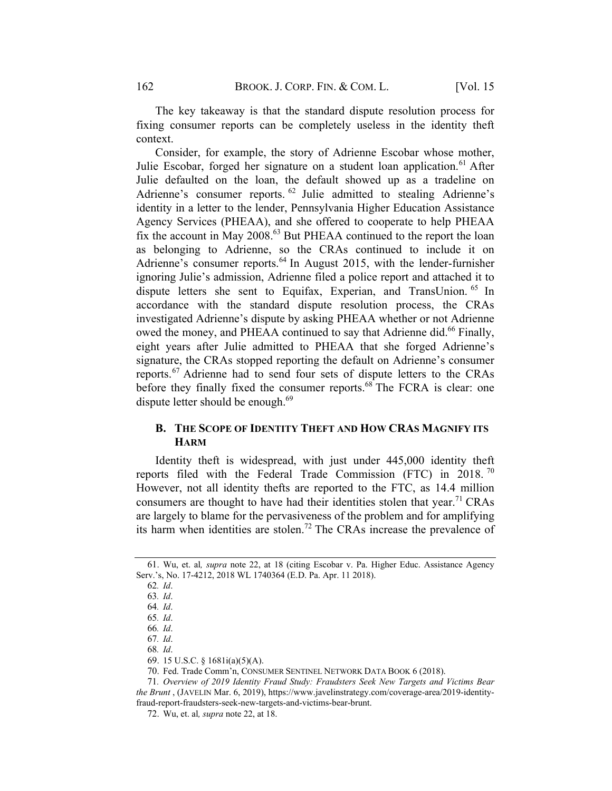The key takeaway is that the standard dispute resolution process for fixing consumer reports can be completely useless in the identity theft context.

Consider, for example, the story of Adrienne Escobar whose mother, Julie Escobar, forged her signature on a student loan application.<sup>61</sup> After Julie defaulted on the loan, the default showed up as a tradeline on Adrienne's consumer reports. <sup>62</sup> Julie admitted to stealing Adrienne's identity in a letter to the lender, Pennsylvania Higher Education Assistance Agency Services (PHEAA), and she offered to cooperate to help PHEAA fix the account in May 2008.<sup>63</sup> But PHEAA continued to the report the loan as belonging to Adrienne, so the CRAs continued to include it on Adrienne's consumer reports.<sup>64</sup> In August 2015, with the lender-furnisher ignoring Julie's admission, Adrienne filed a police report and attached it to dispute letters she sent to Equifax, Experian, and TransUnion. <sup>65</sup> In accordance with the standard dispute resolution process, the CRAs investigated Adrienne's dispute by asking PHEAA whether or not Adrienne owed the money, and PHEAA continued to say that Adrienne did.<sup>66</sup> Finally, eight years after Julie admitted to PHEAA that she forged Adrienne's signature, the CRAs stopped reporting the default on Adrienne's consumer reports.<sup>67</sup> Adrienne had to send four sets of dispute letters to the CRAs before they finally fixed the consumer reports.<sup>68</sup> The FCRA is clear: one dispute letter should be enough.<sup>69</sup>

# B. THE SCOPE OF IDENTITY THEFT AND HOW CRAS MAGNIFY ITS +ARM

Identity theft is widespread, with just under 445,000 identity theft reports filed with the Federal Trade Commission (FTC) in 2018. <sup>70</sup> However, not all identity thefts are reported to the FTC, as 14.4 million consumers are thought to have had their identities stolen that year.<sup>71</sup> CRAs are largely to blame for the pervasiveness of the problem and for amplifying its harm when identities are stolen.<sup>72</sup> The CRAs increase the prevalence of

<sup>61.</sup> Wu, et. al, supra note 22, at 18 (citing Escobar v. Pa. Higher Educ. Assistance Agency Serv.'s, No. 17-4212, 2018 WL 1740364 (E.D. Pa. Apr. 11 2018).

<sup>62</sup>. Id.

<sup>63</sup>. Id.

<sup>64</sup>. Id.

<sup>65</sup>. Id.

<sup>66</sup>. Id.

<sup>67</sup>. Id.

<sup>68</sup>. Id.

<sup>69.</sup> 15 U.S.C. § 1681i(a)(5)(A).

<sup>70.</sup> Fed. Trade Comm'n, CONSUMER SENTINEL NETWORK DATA BOOK 6 (2018).

<sup>71</sup>. Overview of 2019 Identity Fraud Study: Fraudsters Seek New Targets and Victims Bear the Brunt , (JAVELIN Mar. 6, 2019), https://www.javelinstrategy.com/coverage-area/2019-identityfraud-report-fraudsters-seek-new-targets-and-victims-bear-brunt.

<sup>72.</sup> Wu, et. al, supra note 22, at 18.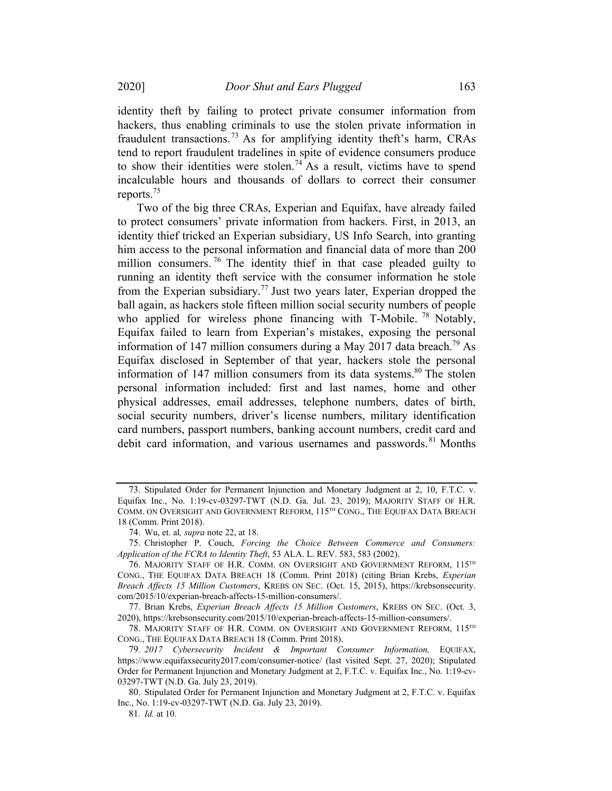identity theft by failing to protect private consumer information from hackers, thus enabling criminals to use the stolen private information in fraudulent transactions. <sup>73</sup> As for amplifying identity theft's harm, CRAs tend to report fraudulent tradelines in spite of evidence consumers produce to show their identities were stolen. <sup>74</sup> As a result, victims have to spend incalculable hours and thousands of dollars to correct their consumer reports. 75

Two of the big three CRAs, Experian and Equifax, have already failed to protect consumers' private information from hackers. First, in 2013, an identity thief tricked an Experian subsidiary, US Info Search, into granting him access to the personal information and financial data of more than 200 million consumers.<sup>76</sup> The identity thief in that case pleaded guilty to running an identity theft service with the consumer information he stole from the Experian subsidiary.<sup>77</sup> Just two years later, Experian dropped the ball again, as hackers stole fifteen million social security numbers of people who applied for wireless phone financing with T-Mobile.<sup>78</sup> Notably, Equifax failed to learn from Experian's mistakes, exposing the personal information of 147 million consumers during a May 2017 data breach.<sup>79</sup> As Equifax disclosed in September of that year, hackers stole the personal information of 147 million consumers from its data systems.<sup>80</sup> The stolen personal information included: first and last names, home and other physical addresses, email addresses, telephone numbers, dates of birth, social security numbers, driver's license numbers, military identification card numbers, passport numbers, banking account numbers, credit card and debit card information, and various usernames and passwords. <sup>81</sup> Months

<sup>73.</sup> Stipulated Order for Permanent Injunction and Monetary Judgment at 2, 10, F.T.C. v. Equifax Inc., No. 1:19-cv-03297-TWT (N.D. Ga. Jul. 23, 2019); MAJORITY STAFF OF H.R. COMM. ON OVERSIGHT AND GOVERNMENT REFORM, 115<sup>TH</sup> CONG., THE EQUIFAX DATA BREACH 18 (Comm. Print 2018).

<sup>74.</sup> Wu, et. al, supra note 22, at 18.

<sup>75.</sup> Christopher P. Couch, Forcing the Choice Between Commerce and Consumers: Application of the FCRA to Identity Theft, 53 ALA. L. REV. 583, 583 (2002).

<sup>76.</sup> MAJORITY STAFF OF H.R. COMM. ON OVERSIGHT AND GOVERNMENT REFORM, 115TH CONG., THE EQUIFAX DATA BREACH 18 (Comm. Print 2018) (citing Brian Krebs, Experian Breach Affects 15 Million Customers, KREBS ON SEC. (Oct. 15, 2015), https://krebsonsecurity. com/2015/10/experian-breach-affects-15-million-consumers/.

<sup>77.</sup> Brian Krebs, Experian Breach Affects 15 Million Customers, KREBS ON SEC. (Oct. 3, 2020), https://krebsonsecurity.com/2015/10/experian-breach-affects-15-million-consumers/.

<sup>78.</sup> MAJORITY STAFF OF H.R. COMM. ON OVERSIGHT AND GOVERNMENT REFORM, 115TH CONG., THE EQUIFAX DATA BREACH 18 (Comm. Print 2018).

<sup>79</sup>. 2017 Cybersecurity Incident & Important Consumer Information, EQUIFAX, https://www.equifaxsecurity2017.com/consumer-notice/ (last visited Sept. 27, 2020); Stipulated Order for Permanent Injunction and Monetary Judgment at 2, F.T.C. v. Equifax Inc., No. 1:19-cv-03297-TWT (N.D. Ga. July 23, 2019).

<sup>80.</sup> Stipulated Order for Permanent Injunction and Monetary Judgment at 2, F.T.C. v. Equifax Inc., No. 1:19-cv-03297-TWT (N.D. Ga. July 23, 2019).

<sup>81</sup>. Id. at 10.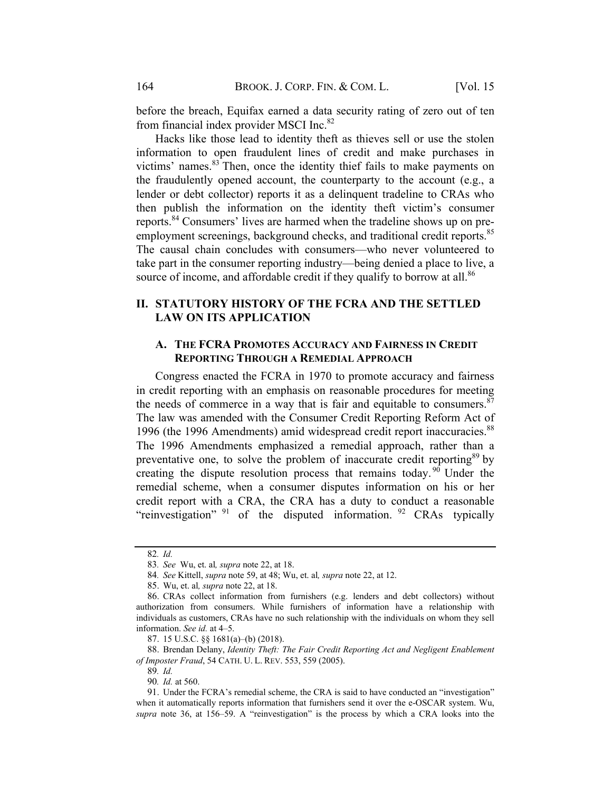before the breach, Equifax earned a data security rating of zero out of ten from financial index provider MSCI Inc.<sup>82</sup>

Hacks like those lead to identity theft as thieves sell or use the stolen information to open fraudulent lines of credit and make purchases in victims' names.<sup>83</sup> Then, once the identity thief fails to make payments on the fraudulently opened account, the counterparty to the account (e.g., a lender or debt collector) reports it as a delinquent tradeline to CRAs who then publish the information on the identity theft victim's consumer reports.<sup>84</sup> Consumers' lives are harmed when the tradeline shows up on preemployment screenings, background checks, and traditional credit reports.<sup>85</sup> The causal chain concludes with consumers—who never volunteered to take part in the consumer reporting industry—being denied a place to live, a source of income, and affordable credit if they qualify to borrow at all.<sup>86</sup>

# II. STATUTORY HISTORY OF THE FCRA AND THE SETTLED LAW ON ITS APPLICATION

### A. THE FCRA PROMOTES ACCURACY AND FAIRNESS IN CREDIT REPORTING THROUGH A REMEDIAL APPROACH

Congress enacted the FCRA in 1970 to promote accuracy and fairness in credit reporting with an emphasis on reasonable procedures for meeting the needs of commerce in a way that is fair and equitable to consumers.  $87$ The law was amended with the Consumer Credit Reporting Reform Act of 1996 (the 1996 Amendments) amid widespread credit report inaccuracies.<sup>88</sup> The 1996 Amendments emphasized a remedial approach, rather than a preventative one, to solve the problem of inaccurate credit reporting<sup>89</sup> by creating the dispute resolution process that remains today.  $90$  Under the remedial scheme, when a consumer disputes information on his or her credit report with a CRA, the CRA has a duty to conduct a reasonable "reinvestigation"  $91$  of the disputed information.  $92$  CRAs typically

90. Id. at 560.

<sup>82</sup>. Id.

<sup>83</sup>. See Wu, et. al, supra note 22, at 18.

<sup>84</sup>. See Kittell, supra note 59, at 48; Wu, et. al, supra note 22, at 12.

<sup>85.</sup> Wu, et. al, supra note 22, at 18.

<sup>86.</sup> CRAs collect information from furnishers (e.g. lenders and debt collectors) without authorization from consumers. While furnishers of information have a relationship with individuals as customers, CRAs have no such relationship with the individuals on whom they sell information. See id. at 4–5.

<sup>87.</sup> 15 U.S.C. §§ 1681(a)–(b) (2018).

<sup>88.</sup> Brendan Delany, Identity Theft: The Fair Credit Reporting Act and Negligent Enablement of Imposter Fraud, 54 CATH. U. L. REV. 553, 559 (2005).

<sup>89</sup>. Id.

<sup>91.</sup> Under the FCRA's remedial scheme, the CRA is said to have conducted an "investigation" when it automatically reports information that furnishers send it over the e-OSCAR system. Wu, supra note 36, at 156–59. A "reinvestigation" is the process by which a CRA looks into the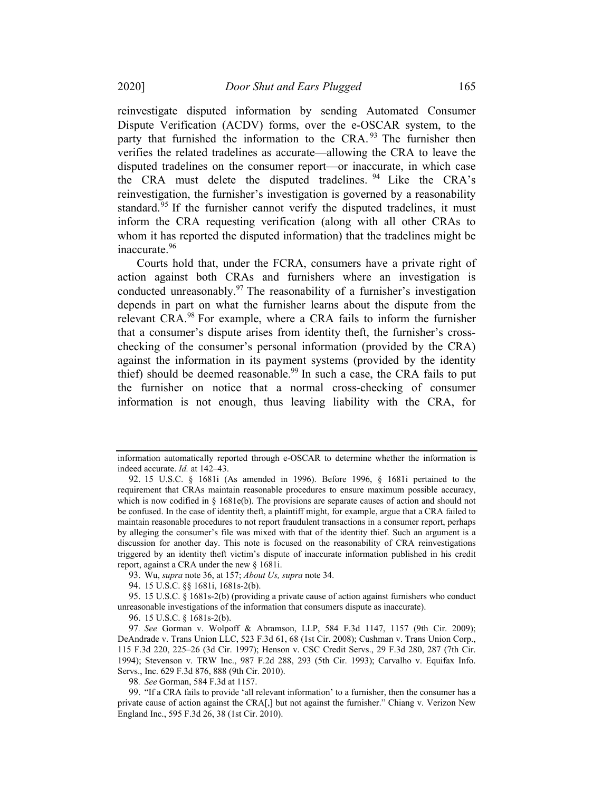reinvestigate disputed information by sending Automated Consumer Dispute Verification (ACDV) forms, over the e-OSCAR system, to the party that furnished the information to the CRA.<sup>93</sup> The furnisher then verifies the related tradelines as accurate—allowing the CRA to leave the disputed tradelines on the consumer report—or inaccurate, in which case the CRA must delete the disputed tradelines. <sup>94</sup> Like the CRA's reinvestigation, the furnisher's investigation is governed by a reasonability standard.<sup>95</sup> If the furnisher cannot verify the disputed tradelines, it must inform the CRA requesting verification (along with all other CRAs to whom it has reported the disputed information) that the tradelines might be inaccurate.<sup>96</sup>

Courts hold that, under the FCRA, consumers have a private right of action against both CRAs and furnishers where an investigation is conducted unreasonably. $97$  The reasonability of a furnisher's investigation depends in part on what the furnisher learns about the dispute from the relevant CRA.<sup>98</sup> For example, where a CRA fails to inform the furnisher that a consumer's dispute arises from identity theft, the furnisher's crosschecking of the consumer's personal information (provided by the CRA) against the information in its payment systems (provided by the identity thief) should be deemed reasonable.<sup>99</sup> In such a case, the CRA fails to put the furnisher on notice that a normal cross-checking of consumer information is not enough, thus leaving liability with the CRA, for

98. See Gorman, 584 F.3d at 1157.

information automatically reported through e-OSCAR to determine whether the information is indeed accurate. Id. at 142–43.

<sup>92.</sup> 15 U.S.C. § 1681i (As amended in 1996). Before 1996, § 1681i pertained to the requirement that CRAs maintain reasonable procedures to ensure maximum possible accuracy, which is now codified in  $\S$  1681e(b). The provisions are separate causes of action and should not be confused. In the case of identity theft, a plaintiff might, for example, argue that a CRA failed to maintain reasonable procedures to not report fraudulent transactions in a consumer report, perhaps by alleging the consumer's file was mixed with that of the identity thief. Such an argument is a discussion for another day. This note is focused on the reasonability of CRA reinvestigations triggered by an identity theft victim's dispute of inaccurate information published in his credit report, against a CRA under the new § 1681i.

<sup>93.</sup> Wu, supra note 36, at 157; About Us, supra note 34.

<sup>94.</sup> 15 U.S.C. §§ 1681i, 1681s-2(b).

<sup>95.</sup> 15 U.S.C. § 1681s-2(b) (providing a private cause of action against furnishers who conduct unreasonable investigations of the information that consumers dispute as inaccurate).

<sup>96.</sup> 15 U.S.C. § 1681s-2(b).

<sup>97</sup>. See Gorman v. Wolpoff & Abramson, LLP, 584 F.3d 1147, 1157 (9th Cir. 2009); DeAndrade v. Trans Union LLC, 523 F.3d 61, 68 (1st Cir. 2008); Cushman v. Trans Union Corp., 115 F.3d 220, 225–26 (3d Cir. 1997); Henson v. CSC Credit Servs., 29 F.3d 280, 287 (7th Cir. 1994); Stevenson v. TRW Inc., 987 F.2d 288, 293 (5th Cir. 1993); Carvalho v. Equifax Info. Servs., Inc. 629 F.3d 876, 888 (9th Cir. 2010).

<sup>99.</sup> "If a CRA fails to provide 'all relevant information' to a furnisher, then the consumer has a private cause of action against the CRA[,] but not against the furnisher." Chiang v. Verizon New England Inc., 595 F.3d 26, 38 (1st Cir. 2010).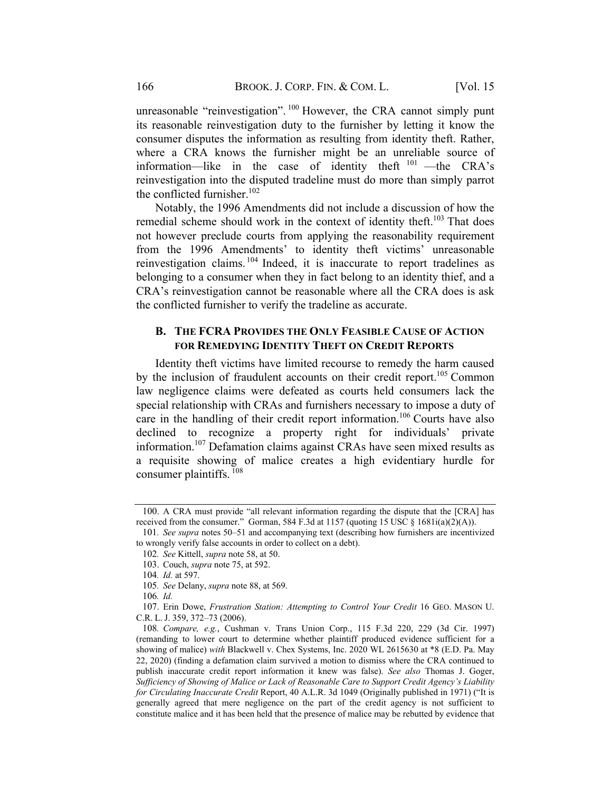unreasonable "reinvestigation". <sup>100</sup> However, the CRA cannot simply punt its reasonable reinvestigation duty to the furnisher by letting it know the consumer disputes the information as resulting from identity theft. Rather, where a CRA knows the furnisher might be an unreliable source of information—like in the case of identity theft  $101$  —the CRA's reinvestigation into the disputed tradeline must do more than simply parrot the conflicted furnisher. $102$ 

Notably, the 1996 Amendments did not include a discussion of how the remedial scheme should work in the context of identity theft.<sup>103</sup> That does not however preclude courts from applying the reasonability requirement from the 1996 Amendments' to identity theft victims' unreasonable reinvestigation claims. <sup>104</sup> Indeed, it is inaccurate to report tradelines as belonging to a consumer when they in fact belong to an identity thief, and a CRA's reinvestigation cannot be reasonable where all the CRA does is ask the conflicted furnisher to verify the tradeline as accurate.

#### **B. THE FCRA PROVIDES THE ONLY FEASIBLE CAUSE OF ACTION** FOR REMEDYING IDENTITY THEFT ON CREDIT REPORTS

Identity theft victims have limited recourse to remedy the harm caused by the inclusion of fraudulent accounts on their credit report.<sup>105</sup> Common law negligence claims were defeated as courts held consumers lack the special relationship with CRAs and furnishers necessary to impose a duty of care in the handling of their credit report information.<sup>106</sup> Courts have also declined to recognize a property right for individuals' private information.<sup>107</sup> Defamation claims against CRAs have seen mixed results as a requisite showing of malice creates a high evidentiary hurdle for consumer plaintiffs. <sup>108</sup>

<sup>100.</sup> A CRA must provide "all relevant information regarding the dispute that the [CRA] has received from the consumer." Gorman, 584 F.3d at 1157 (quoting 15 USC § 1681i(a)(2)(A)).

<sup>101</sup>. See supra notes 50–51 and accompanying text (describing how furnishers are incentivized to wrongly verify false accounts in order to collect on a debt).

<sup>102</sup>. See Kittell, supra note 58, at 50.

<sup>103.</sup> Couch, supra note 75, at 592.

<sup>104</sup>. Id. at 597.

<sup>105</sup>. See Delany, supra note 88, at 569.

<sup>106</sup>. Id.

<sup>107.</sup> Erin Dowe, Frustration Station: Attempting to Control Your Credit 16 GEO. MASON U. C.R. L. J. 359, 372–73 (2006).

<sup>108</sup>. Compare, e.g., Cushman v. Trans Union Corp., 115 F.3d 220, 229 (3d Cir. 1997) (remanding to lower court to determine whether plaintiff produced evidence sufficient for a showing of malice) with Blackwell v. Chex Systems, Inc. 2020 WL 2615630 at \*8 (E.D. Pa. May 22, 2020) (finding a defamation claim survived a motion to dismiss where the CRA continued to publish inaccurate credit report information it knew was false). See also Thomas J. Goger, Sufficiency of Showing of Malice or Lack of Reasonable Care to Support Credit Agency's Liability for Circulating Inaccurate Credit Report, 40 A.L.R. 3d 1049 (Originally published in 1971) ("It is generally agreed that mere negligence on the part of the credit agency is not sufficient to constitute malice and it has been held that the presence of malice may be rebutted by evidence that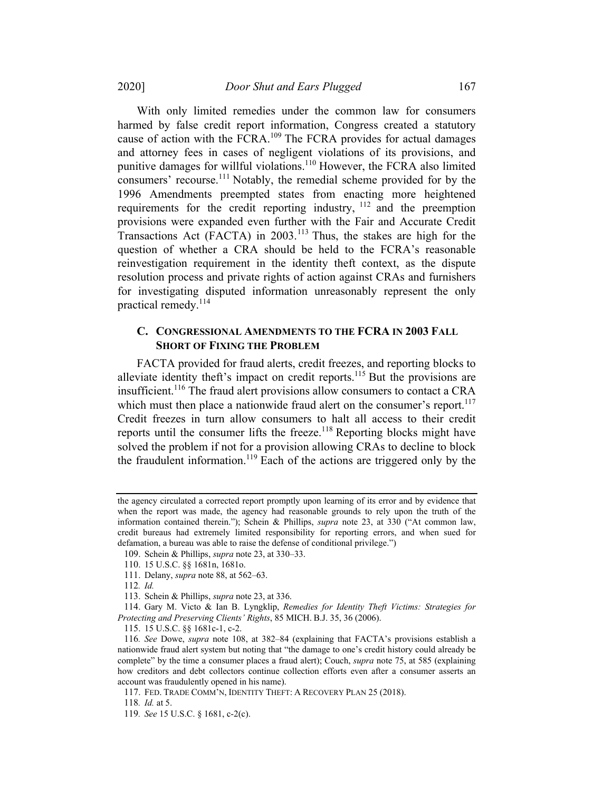2020] Door Shut and Ears Plugged 167

With only limited remedies under the common law for consumers harmed by false credit report information, Congress created a statutory cause of action with the FCRA.<sup>109</sup> The FCRA provides for actual damages and attorney fees in cases of negligent violations of its provisions, and punitive damages for willful violations.<sup>110</sup> However, the FCRA also limited consumers' recourse.<sup>111</sup> Notably, the remedial scheme provided for by the 1996 Amendments preempted states from enacting more heightened requirements for the credit reporting industry, <sup>112</sup> and the preemption provisions were expanded even further with the Fair and Accurate Credit Transactions Act (FACTA) in 2003.<sup>113</sup> Thus, the stakes are high for the question of whether a CRA should be held to the FCRA's reasonable reinvestigation requirement in the identity theft context, as the dispute resolution process and private rights of action against CRAs and furnishers

## C. CONGRESSIONAL AMENDMENTS TO THE FCRA IN 2003 FALL **SHORT OF FIXING THE PROBLEM**

for investigating disputed information unreasonably represent the only

FACTA provided for fraud alerts, credit freezes, and reporting blocks to alleviate identity theft's impact on credit reports.<sup>115</sup> But the provisions are insufficient.116 The fraud alert provisions allow consumers to contact a CRA which must then place a nationwide fraud alert on the consumer's report. $117$ Credit freezes in turn allow consumers to halt all access to their credit reports until the consumer lifts the freeze.<sup>118</sup> Reporting blocks might have solved the problem if not for a provision allowing CRAs to decline to block the fraudulent information.<sup>119</sup> Each of the actions are triggered only by the

practical remedy.<sup>114</sup>

the agency circulated a corrected report promptly upon learning of its error and by evidence that when the report was made, the agency had reasonable grounds to rely upon the truth of the information contained therein."); Schein & Phillips, supra note 23, at 330 ("At common law, credit bureaus had extremely limited responsibility for reporting errors, and when sued for defamation, a bureau was able to raise the defense of conditional privilege.")

<sup>109.</sup> Schein & Phillips, supra note 23, at 330–33.

<sup>110.</sup> 15 U.S.C. §§ 1681n, 1681o.

<sup>111.</sup> Delany, supra note 88, at 562–63.

<sup>112</sup>. Id.

<sup>113.</sup> Schein & Phillips, supra note 23, at 336.

<sup>114.</sup> Gary M. Victo & Ian B. Lyngklip, Remedies for Identity Theft Victims: Strategies for Protecting and Preserving Clients' Rights, 85 MICH. B.J. 35, 36 (2006).

<sup>115.</sup> 15 U.S.C. §§ 1681c-1, c-2.

<sup>116</sup>. See Dowe, supra note 108, at 382–84 (explaining that FACTA's provisions establish a nationwide fraud alert system but noting that "the damage to one's credit history could already be complete" by the time a consumer places a fraud alert); Couch, *supra* note 75, at 585 (explaining how creditors and debt collectors continue collection efforts even after a consumer asserts an account was fraudulently opened in his name).

<sup>117.</sup> FED. TRADE COMM'N, IDENTITY THEFT: A RECOVERY PLAN 25 (2018).

<sup>118</sup>. Id. at 5.

<sup>119</sup>. See 15 U.S.C. § 1681, c-2(c).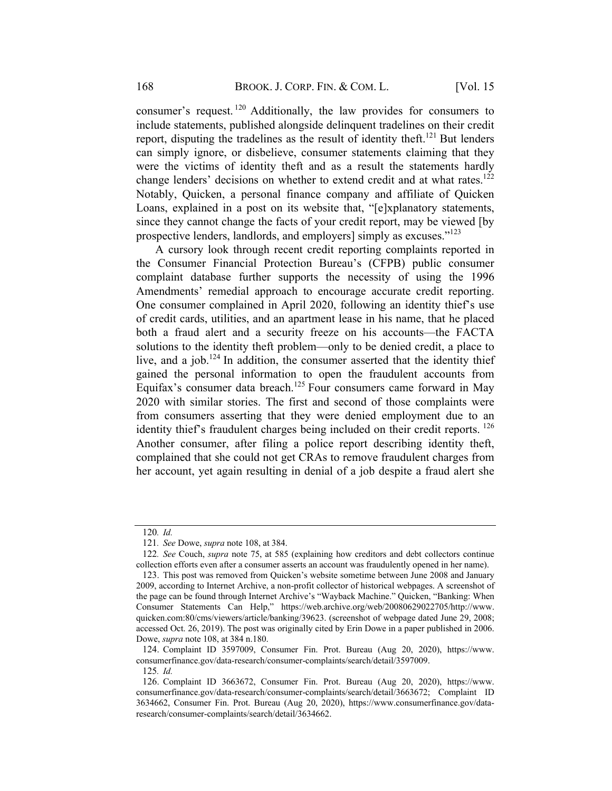consumer's request. <sup>120</sup> Additionally, the law provides for consumers to include statements, published alongside delinquent tradelines on their credit report, disputing the tradelines as the result of identity theft.<sup>121</sup> But lenders can simply ignore, or disbelieve, consumer statements claiming that they were the victims of identity theft and as a result the statements hardly change lenders' decisions on whether to extend credit and at what rates.<sup>122</sup> Notably, Quicken, a personal finance company and affiliate of Quicken Loans, explained in a post on its website that, "[e]xplanatory statements, since they cannot change the facts of your credit report, may be viewed [by prospective lenders, landlords, and employers] simply as excuses."<sup>123</sup>

A cursory look through recent credit reporting complaints reported in the Consumer Financial Protection Bureau's (CFPB) public consumer complaint database further supports the necessity of using the 1996 Amendments' remedial approach to encourage accurate credit reporting. One consumer complained in April 2020, following an identity thief's use of credit cards, utilities, and an apartment lease in his name, that he placed both a fraud alert and a security freeze on his accounts—the FACTA solutions to the identity theft problem—only to be denied credit, a place to live, and a job.<sup>124</sup> In addition, the consumer asserted that the identity thief gained the personal information to open the fraudulent accounts from Equifax's consumer data breach.<sup>125</sup> Four consumers came forward in May 2020 with similar stories. The first and second of those complaints were from consumers asserting that they were denied employment due to an identity thief's fraudulent charges being included on their credit reports.  $^{126}$ Another consumer, after filing a police report describing identity theft, complained that she could not get CRAs to remove fraudulent charges from her account, yet again resulting in denial of a job despite a fraud alert she

<sup>120</sup>. Id.

<sup>121</sup>. See Dowe, supra note 108, at 384.

<sup>122.</sup> See Couch, supra note 75, at 585 (explaining how creditors and debt collectors continue collection efforts even after a consumer asserts an account was fraudulently opened in her name).

<sup>123.</sup> This post was removed from Quicken's website sometime between June 2008 and January 2009, according to Internet Archive, a non-profit collector of historical webpages. A screenshot of the page can be found through Internet Archive's "Wayback Machine." Quicken, "Banking: When Consumer Statements Can Help," https://web.archive.org/web/20080629022705/http://www. quicken.com:80/cms/viewers/article/banking/39623. (screenshot of webpage dated June 29, 2008; accessed Oct. 26, 2019). The post was originally cited by Erin Dowe in a paper published in 2006. Dowe, supra note 108, at 384 n.180.

<sup>124.</sup> Complaint ID 3597009, Consumer Fin. Prot. Bureau (Aug 20, 2020), https://www. consumerfinance.gov/data-research/consumer-complaints/search/detail/3597009.

<sup>125</sup>. Id.

<sup>126.</sup> Complaint ID 3663672, Consumer Fin. Prot. Bureau (Aug 20, 2020), https://www. consumerfinance.gov/data-research/consumer-complaints/search/detail/3663672; Complaint ID 3634662, Consumer Fin. Prot. Bureau (Aug 20, 2020), https://www.consumerfinance.gov/dataresearch/consumer-complaints/search/detail/3634662.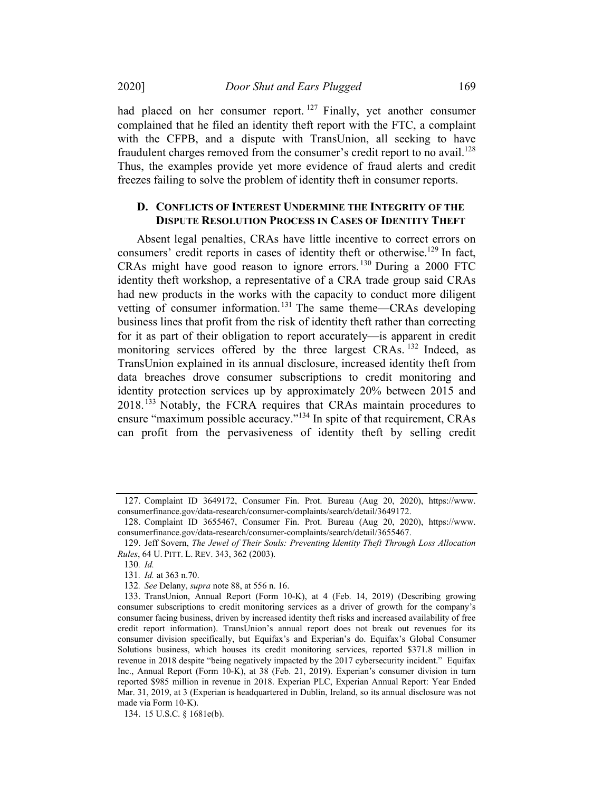2020] Door Shut and Ears Plugged 169

had placed on her consumer report.<sup>127</sup> Finally, yet another consumer complained that he filed an identity theft report with the FTC, a complaint with the CFPB, and a dispute with TransUnion, all seeking to have fraudulent charges removed from the consumer's credit report to no avail.<sup>128</sup> Thus, the examples provide yet more evidence of fraud alerts and credit freezes failing to solve the problem of identity theft in consumer reports.

## D. CONFLICTS OF INTEREST UNDERMINE THE INTEGRITY OF THE DISPUTE RESOLUTION PROCESS IN CASES OF IDENTITY THEFT

Absent legal penalties, CRAs have little incentive to correct errors on consumers' credit reports in cases of identity theft or otherwise.<sup>129</sup> In fact, CRAs might have good reason to ignore errors. <sup>130</sup> During a 2000 FTC identity theft workshop, a representative of a CRA trade group said CRAs had new products in the works with the capacity to conduct more diligent vetting of consumer information.<sup>131</sup> The same theme—CRAs developing business lines that profit from the risk of identity theft rather than correcting for it as part of their obligation to report accurately—is apparent in credit monitoring services offered by the three largest CRAs.<sup>132</sup> Indeed, as TransUnion explained in its annual disclosure, increased identity theft from data breaches drove consumer subscriptions to credit monitoring and identity protection services up by approximately 20% between 2015 and 2018.<sup>133</sup> Notably, the FCRA requires that CRAs maintain procedures to ensure "maximum possible accuracy."<sup>134</sup> In spite of that requirement, CRAs can profit from the pervasiveness of identity theft by selling credit

<sup>127.</sup> Complaint ID 3649172, Consumer Fin. Prot. Bureau (Aug 20, 2020), https://www. consumerfinance.gov/data-research/consumer-complaints/search/detail/3649172.

<sup>128.</sup> Complaint ID 3655467, Consumer Fin. Prot. Bureau (Aug 20, 2020), https://www. consumerfinance.gov/data-research/consumer-complaints/search/detail/3655467.

<sup>129.</sup> Jeff Sovern, The Jewel of Their Souls: Preventing Identity Theft Through Loss Allocation Rules, 64 U. PITT. L. REV. 343, 362 (2003).

<sup>130</sup>. Id.

<sup>131</sup>. Id. at 363 n.70.

<sup>132</sup>. See Delany, supra note 88, at 556 n. 16.

<sup>133.</sup> TransUnion, Annual Report (Form 10-K), at 4 (Feb. 14, 2019) (Describing growing consumer subscriptions to credit monitoring services as a driver of growth for the company's consumer facing business, driven by increased identity theft risks and increased availability of free credit report information). TransUnion's annual report does not break out revenues for its consumer division specifically, but Equifax's and Experian's do. Equifax's Global Consumer Solutions business, which houses its credit monitoring services, reported \$371.8 million in revenue in 2018 despite "being negatively impacted by the 2017 cybersecurity incident." Equifax Inc., Annual Report (Form 10-K), at 38 (Feb. 21, 2019). Experian's consumer division in turn reported \$985 million in revenue in 2018. Experian PLC, Experian Annual Report: Year Ended Mar. 31, 2019, at 3 (Experian is headquartered in Dublin, Ireland, so its annual disclosure was not made via Form 10-K).

<sup>134.</sup> 15 U.S.C. § 1681e(b).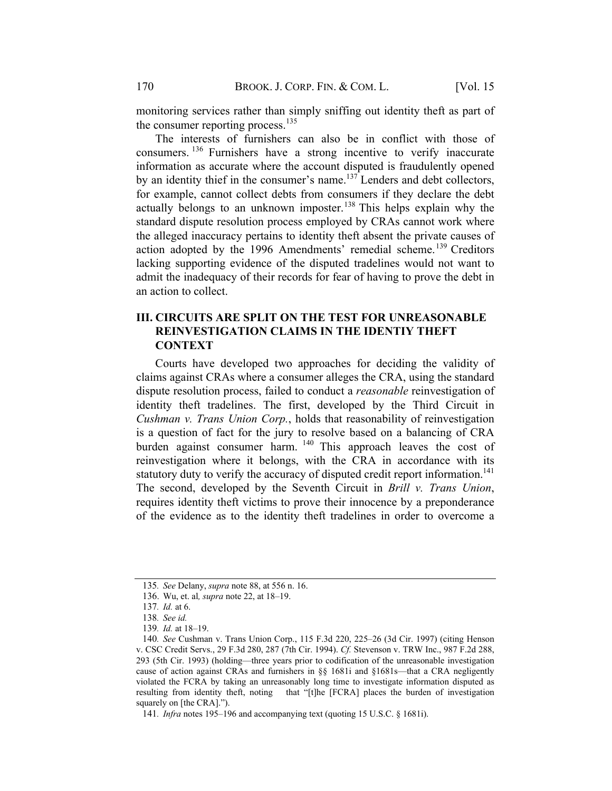monitoring services rather than simply sniffing out identity theft as part of the consumer reporting process.<sup>135</sup>

The interests of furnishers can also be in conflict with those of consumers. <sup>136</sup> Furnishers have a strong incentive to verify inaccurate information as accurate where the account disputed is fraudulently opened by an identity thief in the consumer's name. $137$  Lenders and debt collectors, for example, cannot collect debts from consumers if they declare the debt actually belongs to an unknown imposter.<sup>138</sup> This helps explain why the standard dispute resolution process employed by CRAs cannot work where the alleged inaccuracy pertains to identity theft absent the private causes of action adopted by the 1996 Amendments' remedial scheme.<sup>139</sup> Creditors lacking supporting evidence of the disputed tradelines would not want to admit the inadequacy of their records for fear of having to prove the debt in an action to collect.

# III. CIRCUITS ARE SPLIT ON THE TEST FOR UNREASONABLE REINVESTIGATION CLAIMS IN THE IDENTIY THEFT **CONTEXT**

Courts have developed two approaches for deciding the validity of claims against CRAs where a consumer alleges the CRA, using the standard dispute resolution process, failed to conduct a *reasonable* reinvestigation of identity theft tradelines. The first, developed by the Third Circuit in Cushman v. Trans Union Corp., holds that reasonability of reinvestigation is a question of fact for the jury to resolve based on a balancing of CRA burden against consumer harm. <sup>140</sup> This approach leaves the cost of reinvestigation where it belongs, with the CRA in accordance with its statutory duty to verify the accuracy of disputed credit report information.<sup>141</sup> The second, developed by the Seventh Circuit in Brill v. Trans Union, requires identity theft victims to prove their innocence by a preponderance of the evidence as to the identity theft tradelines in order to overcome a

<sup>135</sup>. See Delany, supra note 88, at 556 n. 16.

<sup>136.</sup> Wu, et. al, supra note 22, at 18–19.

<sup>137</sup>. Id. at 6.

<sup>138</sup>. See id.

<sup>139</sup>. Id. at 18–19.

<sup>140</sup>. See Cushman v. Trans Union Corp., 115 F.3d 220, 225–26 (3d Cir. 1997) (citing Henson v. CSC Credit Servs., 29 F.3d 280, 287 (7th Cir. 1994). Cf. Stevenson v. TRW Inc., 987 F.2d 288, 293 (5th Cir. 1993) (holding—three years prior to codification of the unreasonable investigation cause of action against CRAs and furnishers in §§ 1681i and §1681s—that a CRA negligently violated the FCRA by taking an unreasonably long time to investigate information disputed as resulting from identity theft, noting that "[t]he [FCRA] places the burden of investigation squarely on [the CRA].").

<sup>141</sup>. Infra notes 195–196 and accompanying text (quoting 15 U.S.C. § 1681i).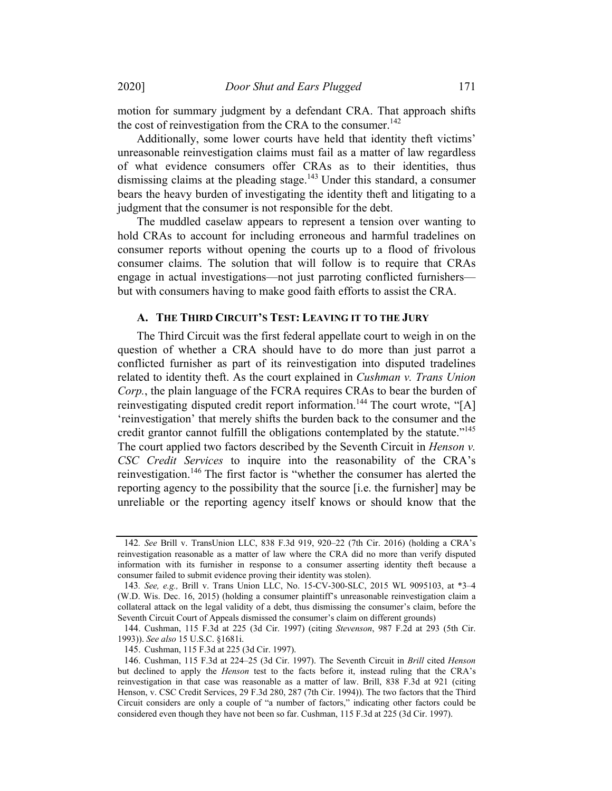motion for summary judgment by a defendant CRA. That approach shifts the cost of reinvestigation from the CRA to the consumer.<sup>142</sup>

Additionally, some lower courts have held that identity theft victims' unreasonable reinvestigation claims must fail as a matter of law regardless of what evidence consumers offer CRAs as to their identities, thus dismissing claims at the pleading stage.<sup>143</sup> Under this standard, a consumer bears the heavy burden of investigating the identity theft and litigating to a judgment that the consumer is not responsible for the debt.

The muddled caselaw appears to represent a tension over wanting to hold CRAs to account for including erroneous and harmful tradelines on consumer reports without opening the courts up to a flood of frivolous consumer claims. The solution that will follow is to require that CRAs engage in actual investigations—not just parroting conflicted furnishers but with consumers having to make good faith efforts to assist the CRA.

#### A. THE THIRD CIRCUIT'S TEST: LEAVING IT TO THE JURY

The Third Circuit was the first federal appellate court to weigh in on the question of whether a CRA should have to do more than just parrot a conflicted furnisher as part of its reinvestigation into disputed tradelines related to identity theft. As the court explained in Cushman v. Trans Union Corp., the plain language of the FCRA requires CRAs to bear the burden of reinvestigating disputed credit report information.<sup>144</sup> The court wrote, "[A] 'reinvestigation' that merely shifts the burden back to the consumer and the credit grantor cannot fulfill the obligations contemplated by the statute."<sup>145</sup> The court applied two factors described by the Seventh Circuit in *Henson v*. CSC Credit Services to inquire into the reasonability of the CRA's reinvestigation.146 The first factor is "whether the consumer has alerted the reporting agency to the possibility that the source [i.e. the furnisher] may be unreliable or the reporting agency itself knows or should know that the

<sup>142</sup>. See Brill v. TransUnion LLC, 838 F.3d 919, 920–22 (7th Cir. 2016) (holding a CRA's reinvestigation reasonable as a matter of law where the CRA did no more than verify disputed information with its furnisher in response to a consumer asserting identity theft because a consumer failed to submit evidence proving their identity was stolen).

<sup>143</sup>. See, e.g., Brill v. Trans Union LLC, No. 15-CV-300-SLC, 2015 WL 9095103, at \*3–4 (W.D. Wis. Dec. 16, 2015) (holding a consumer plaintiff's unreasonable reinvestigation claim a collateral attack on the legal validity of a debt, thus dismissing the consumer's claim, before the Seventh Circuit Court of Appeals dismissed the consumer's claim on different grounds)

<sup>144.</sup> Cushman, 115 F.3d at 225 (3d Cir. 1997) (citing Stevenson, 987 F.2d at 293 (5th Cir. 1993)). See also 15 U.S.C. §1681i.

<sup>145.</sup> Cushman, 115 F.3d at 225 (3d Cir. 1997).

<sup>146.</sup> Cushman, 115 F.3d at 224–25 (3d Cir. 1997). The Seventh Circuit in Brill cited Henson but declined to apply the Henson test to the facts before it, instead ruling that the CRA's reinvestigation in that case was reasonable as a matter of law. Brill, 838 F.3d at 921 (citing Henson, v. CSC Credit Services, 29 F.3d 280, 287 (7th Cir. 1994)). The two factors that the Third Circuit considers are only a couple of "a number of factors," indicating other factors could be considered even though they have not been so far. Cushman, 115 F.3d at 225 (3d Cir. 1997).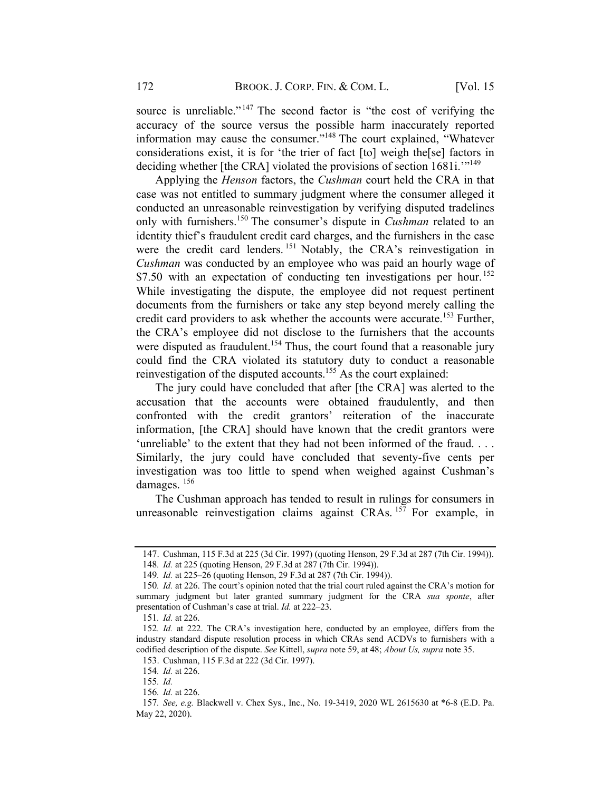source is unreliable."<sup>147</sup> The second factor is "the cost of verifying the accuracy of the source versus the possible harm inaccurately reported information may cause the consumer."148 The court explained, "Whatever considerations exist, it is for 'the trier of fact [to] weigh the[se] factors in deciding whether [the CRA] violated the provisions of section 1681i."<sup>149</sup>

Applying the *Henson* factors, the *Cushman* court held the CRA in that case was not entitled to summary judgment where the consumer alleged it conducted an unreasonable reinvestigation by verifying disputed tradelines only with furnishers.<sup>150</sup> The consumer's dispute in *Cushman* related to an identity thief's fraudulent credit card charges, and the furnishers in the case were the credit card lenders.<sup>151</sup> Notably, the CRA's reinvestigation in Cushman was conducted by an employee who was paid an hourly wage of \$7.50 with an expectation of conducting ten investigations per hour.<sup>152</sup> While investigating the dispute, the employee did not request pertinent documents from the furnishers or take any step beyond merely calling the credit card providers to ask whether the accounts were accurate.<sup>153</sup> Further, the CRA's employee did not disclose to the furnishers that the accounts were disputed as fraudulent.<sup>154</sup> Thus, the court found that a reasonable jury could find the CRA violated its statutory duty to conduct a reasonable reinvestigation of the disputed accounts.<sup>155</sup> As the court explained:

The jury could have concluded that after [the CRA] was alerted to the accusation that the accounts were obtained fraudulently, and then confronted with the credit grantors' reiteration of the inaccurate information, [the CRA] should have known that the credit grantors were 'unreliable' to the extent that they had not been informed of the fraud. . . . Similarly, the jury could have concluded that seventy-five cents per investigation was too little to spend when weighed against Cushman's damages.<sup>156</sup>

The Cushman approach has tended to result in rulings for consumers in unreasonable reinvestigation claims against CRAs.  $157$  For example, in

<sup>147.</sup> Cushman, 115 F.3d at 225 (3d Cir. 1997) (quoting Henson, 29 F.3d at 287 (7th Cir. 1994)).

<sup>148</sup>. Id. at 225 (quoting Henson, 29 F.3d at 287 (7th Cir. 1994)).

<sup>149</sup>. Id. at 225–26 (quoting Henson, 29 F.3d at 287 (7th Cir. 1994)).

<sup>150</sup>. Id. at 226. The court's opinion noted that the trial court ruled against the CRA's motion for summary judgment but later granted summary judgment for the CRA sua sponte, after presentation of Cushman's case at trial. Id. at 222–23.

<sup>151</sup>. Id. at 226.

<sup>152</sup>. Id. at 222. The CRA's investigation here, conducted by an employee, differs from the industry standard dispute resolution process in which CRAs send ACDVs to furnishers with a codified description of the dispute. See Kittell, supra note 59, at 48; About Us, supra note 35.

<sup>153.</sup> Cushman, 115 F.3d at 222 (3d Cir. 1997).

<sup>154</sup>. Id. at 226.

<sup>155</sup>. Id.

<sup>156</sup>. Id. at 226.

<sup>157</sup>. See, e.g. Blackwell v. Chex Sys., Inc., No. 19-3419, 2020 WL 2615630 at \*6-8 (E.D. Pa. May 22, 2020).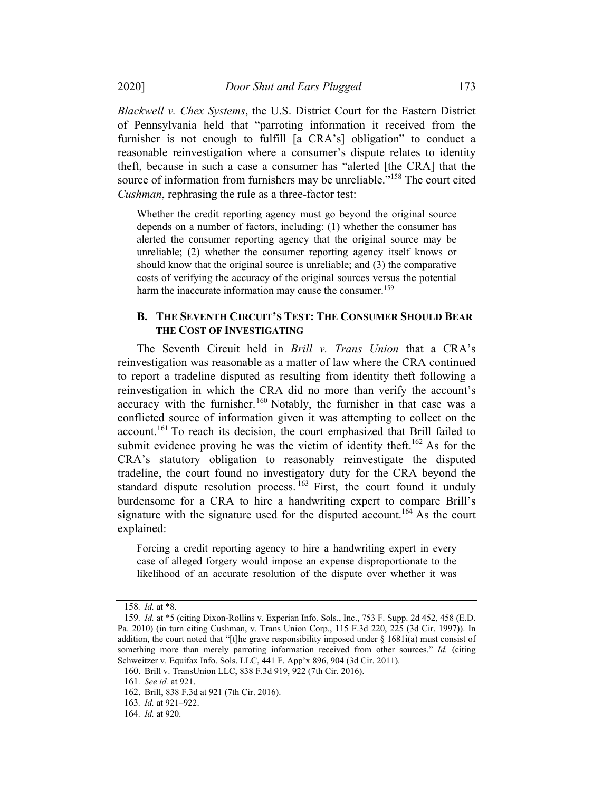Blackwell v. Chex Systems, the U.S. District Court for the Eastern District of Pennsylvania held that "parroting information it received from the furnisher is not enough to fulfill [a CRA's] obligation" to conduct a reasonable reinvestigation where a consumer's dispute relates to identity theft, because in such a case a consumer has "alerted [the CRA] that the source of information from furnishers may be unreliable."<sup>158</sup> The court cited Cushman, rephrasing the rule as a three-factor test:

Whether the credit reporting agency must go beyond the original source depends on a number of factors, including: (1) whether the consumer has alerted the consumer reporting agency that the original source may be unreliable; (2) whether the consumer reporting agency itself knows or should know that the original source is unreliable; and (3) the comparative costs of verifying the accuracy of the original sources versus the potential harm the inaccurate information may cause the consumer.<sup>159</sup>

#### **B. THE SEVENTH CIRCUIT'S TEST: THE CONSUMER SHOULD BEAR** THE COST OF INVESTIGATING

The Seventh Circuit held in Brill v. Trans Union that a CRA's reinvestigation was reasonable as a matter of law where the CRA continued to report a tradeline disputed as resulting from identity theft following a reinvestigation in which the CRA did no more than verify the account's accuracy with the furnisher.<sup>160</sup> Notably, the furnisher in that case was a conflicted source of information given it was attempting to collect on the account.<sup>161</sup> To reach its decision, the court emphasized that Brill failed to submit evidence proving he was the victim of identity theft.<sup>162</sup> As for the CRA's statutory obligation to reasonably reinvestigate the disputed tradeline, the court found no investigatory duty for the CRA beyond the standard dispute resolution process.  $163$  First, the court found it unduly burdensome for a CRA to hire a handwriting expert to compare Brill's signature with the signature used for the disputed account.<sup>164</sup> As the court explained:

Forcing a credit reporting agency to hire a handwriting expert in every case of alleged forgery would impose an expense disproportionate to the likelihood of an accurate resolution of the dispute over whether it was

<sup>158</sup>. Id. at \*8.

<sup>159</sup>. Id. at \*5 (citing Dixon-Rollins v. Experian Info. Sols., Inc., 753 F. Supp. 2d 452, 458 (E.D. Pa. 2010) (in turn citing Cushman, v. Trans Union Corp., 115 F.3d 220, 225 (3d Cir. 1997)). In addition, the court noted that "[t]he grave responsibility imposed under  $\S$  1681i(a) must consist of something more than merely parroting information received from other sources." Id. (citing Schweitzer v. Equifax Info. Sols. LLC, 441 F. App'x 896, 904 (3d Cir. 2011).

<sup>160.</sup> Brill v. TransUnion LLC, 838 F.3d 919, 922 (7th Cir. 2016).

<sup>161</sup>. See id. at 921.

<sup>162.</sup> Brill, 838 F.3d at 921 (7th Cir. 2016).

<sup>163</sup>. Id. at 921–922.

<sup>164</sup>. Id. at 920.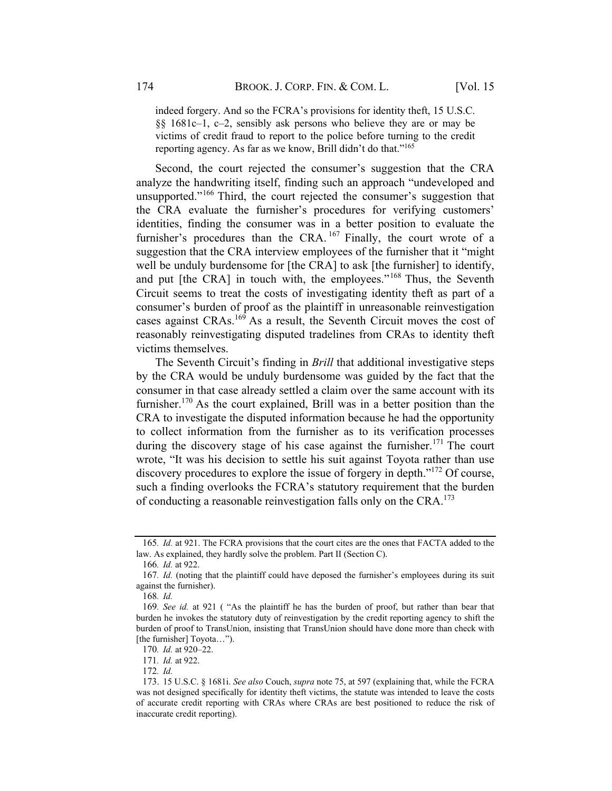indeed forgery. And so the FCRA's provisions for identity theft, 15 U.S.C. §§ 1681c–1, c–2, sensibly ask persons who believe they are or may be victims of credit fraud to report to the police before turning to the credit reporting agency. As far as we know, Brill didn't do that."<sup>165</sup>

Second, the court rejected the consumer's suggestion that the CRA analyze the handwriting itself, finding such an approach "undeveloped and unsupported."<sup>166</sup> Third, the court rejected the consumer's suggestion that the CRA evaluate the furnisher's procedures for verifying customers' identities, finding the consumer was in a better position to evaluate the furnisher's procedures than the CRA.  $167$  Finally, the court wrote of a suggestion that the CRA interview employees of the furnisher that it "might well be unduly burdensome for [the CRA] to ask [the furnisher] to identify, and put [the CRA] in touch with, the employees."<sup>168</sup> Thus, the Seventh Circuit seems to treat the costs of investigating identity theft as part of a consumer's burden of proof as the plaintiff in unreasonable reinvestigation cases against CRAs.<sup>169</sup> As a result, the Seventh Circuit moves the cost of reasonably reinvestigating disputed tradelines from CRAs to identity theft victims themselves.

The Seventh Circuit's finding in *Brill* that additional investigative steps by the CRA would be unduly burdensome was guided by the fact that the consumer in that case already settled a claim over the same account with its furnisher.<sup>170</sup> As the court explained, Brill was in a better position than the CRA to investigate the disputed information because he had the opportunity to collect information from the furnisher as to its verification processes during the discovery stage of his case against the furnisher.<sup>171</sup> The court wrote, "It was his decision to settle his suit against Toyota rather than use discovery procedures to explore the issue of forgery in depth."172 Of course, such a finding overlooks the FCRA's statutory requirement that the burden of conducting a reasonable reinvestigation falls only on the CRA.<sup>173</sup>

<sup>165</sup>. Id. at 921. The FCRA provisions that the court cites are the ones that FACTA added to the law. As explained, they hardly solve the problem. Part II (Section C).

<sup>166</sup>. Id. at 922.

<sup>167</sup>. Id. (noting that the plaintiff could have deposed the furnisher's employees during its suit against the furnisher).

<sup>168</sup>. Id.

<sup>169</sup>. See id. at 921 ( "As the plaintiff he has the burden of proof, but rather than bear that burden he invokes the statutory duty of reinvestigation by the credit reporting agency to shift the burden of proof to TransUnion, insisting that TransUnion should have done more than check with [the furnisher] Toyota...").

<sup>170</sup>. Id. at 920–22.

<sup>171</sup>. Id. at 922.

<sup>172</sup>. Id.

<sup>173.</sup> 15 U.S.C. § 1681i. See also Couch, supra note 75, at 597 (explaining that, while the FCRA was not designed specifically for identity theft victims, the statute was intended to leave the costs of accurate credit reporting with CRAs where CRAs are best positioned to reduce the risk of inaccurate credit reporting).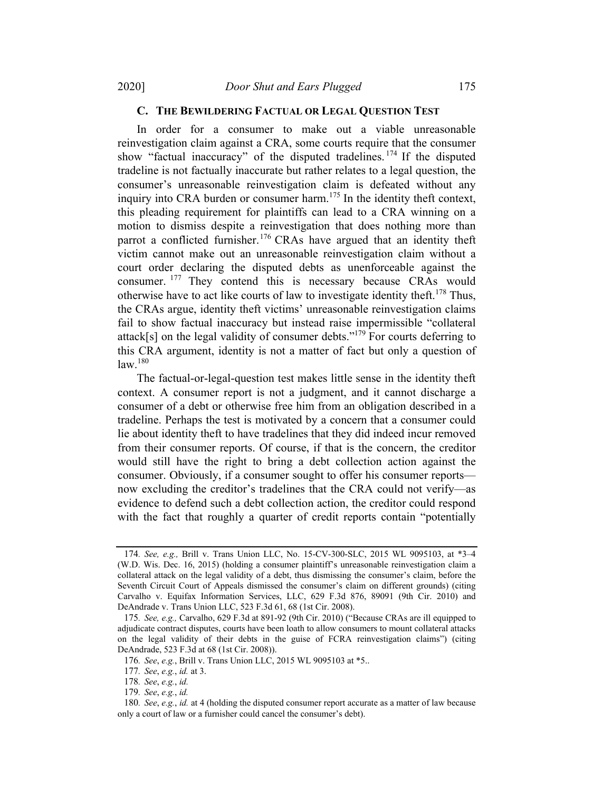#### C. THE BEWILDERING FACTUAL OR LEGAL QUESTION TEST

In order for a consumer to make out a viable unreasonable reinvestigation claim against a CRA, some courts require that the consumer show "factual inaccuracy" of the disputed tradelines.  $174$  If the disputed tradeline is not factually inaccurate but rather relates to a legal question, the consumer's unreasonable reinvestigation claim is defeated without any inquiry into CRA burden or consumer harm.<sup>175</sup> In the identity theft context, this pleading requirement for plaintiffs can lead to a CRA winning on a motion to dismiss despite a reinvestigation that does nothing more than parrot a conflicted furnisher.<sup>176</sup> CRAs have argued that an identity theft victim cannot make out an unreasonable reinvestigation claim without a court order declaring the disputed debts as unenforceable against the consumer. <sup>177</sup> They contend this is necessary because CRAs would otherwise have to act like courts of law to investigate identity theft.<sup>178</sup> Thus, the CRAs argue, identity theft victims' unreasonable reinvestigation claims fail to show factual inaccuracy but instead raise impermissible "collateral attack[s] on the legal validity of consumer debts."<sup>179</sup> For courts deferring to this CRA argument, identity is not a matter of fact but only a question of law. 180

The factual-or-legal-question test makes little sense in the identity theft context. A consumer report is not a judgment, and it cannot discharge a consumer of a debt or otherwise free him from an obligation described in a tradeline. Perhaps the test is motivated by a concern that a consumer could lie about identity theft to have tradelines that they did indeed incur removed from their consumer reports. Of course, if that is the concern, the creditor would still have the right to bring a debt collection action against the consumer. Obviously, if a consumer sought to offer his consumer reports now excluding the creditor's tradelines that the CRA could not verify—as evidence to defend such a debt collection action, the creditor could respond with the fact that roughly a quarter of credit reports contain "potentially

<sup>174</sup>. See, e.g., Brill v. Trans Union LLC, No. 15-CV-300-SLC, 2015 WL 9095103, at \*3–4 (W.D. Wis. Dec. 16, 2015) (holding a consumer plaintiff's unreasonable reinvestigation claim a collateral attack on the legal validity of a debt, thus dismissing the consumer's claim, before the Seventh Circuit Court of Appeals dismissed the consumer's claim on different grounds) (citing Carvalho v. Equifax Information Services, LLC, 629 F.3d 876, 89091 (9th Cir. 2010) and DeAndrade v. Trans Union LLC, 523 F.3d 61, 68 (1st Cir. 2008).

<sup>175</sup>. See, e.g., Carvalho, 629 F.3d at 891-92 (9th Cir. 2010) ("Because CRAs are ill equipped to adjudicate contract disputes, courts have been loath to allow consumers to mount collateral attacks on the legal validity of their debts in the guise of FCRA reinvestigation claims") (citing DeAndrade, 523 F.3d at 68 (1st Cir. 2008)).

<sup>176</sup>. See, e.g., Brill v. Trans Union LLC, 2015 WL 9095103 at \*5..

<sup>177</sup>. See, e.g., id. at 3.

<sup>178</sup>. See, e.g., id.

<sup>179</sup>. See, e.g., id.

<sup>180.</sup> See,  $e.g., id.$  at 4 (holding the disputed consumer report accurate as a matter of law because only a court of law or a furnisher could cancel the consumer's debt).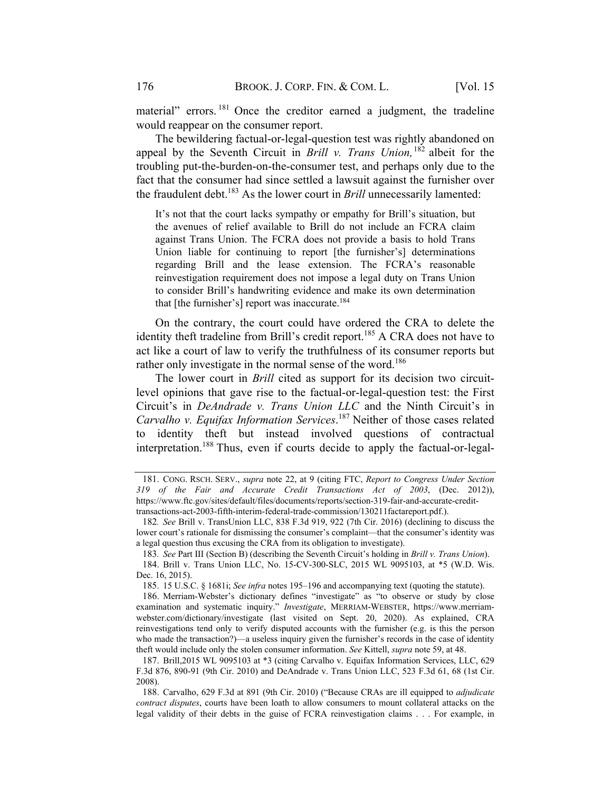material" errors.<sup>181</sup> Once the creditor earned a judgment, the tradeline would reappear on the consumer report.

The bewildering factual-or-legal-question test was rightly abandoned on appeal by the Seventh Circuit in *Brill v. Trans Union*,  $182$  albeit for the troubling put-the-burden-on-the-consumer test, and perhaps only due to the fact that the consumer had since settled a lawsuit against the furnisher over the fraudulent debt.<sup>183</sup> As the lower court in *Brill* unnecessarily lamented:

It's not that the court lacks sympathy or empathy for Brill's situation, but the avenues of relief available to Brill do not include an FCRA claim against Trans Union. The FCRA does not provide a basis to hold Trans Union liable for continuing to report [the furnisher's] determinations regarding Brill and the lease extension. The FCRA's reasonable reinvestigation requirement does not impose a legal duty on Trans Union to consider Brill's handwriting evidence and make its own determination that [the furnisher's] report was inaccurate.<sup>184</sup>

On the contrary, the court could have ordered the CRA to delete the identity theft tradeline from Brill's credit report.<sup>185</sup> A CRA does not have to act like a court of law to verify the truthfulness of its consumer reports but rather only investigate in the normal sense of the word.<sup>186</sup>

The lower court in *Brill* cited as support for its decision two circuitlevel opinions that gave rise to the factual-or-legal-question test: the First Circuit's in DeAndrade v. Trans Union LLC and the Ninth Circuit's in Carvalho v. Equifax Information Services.<sup>187</sup> Neither of those cases related to identity theft but instead involved questions of contractual interpretation.188 Thus, even if courts decide to apply the factual-or-legal-

<sup>181.</sup> CONG. RSCH. SERV., supra note 22, at 9 (citing FTC, Report to Congress Under Section 319 of the Fair and Accurate Credit Transactions Act of 2003, (Dec. 2012)), https://www.ftc.gov/sites/default/files/documents/reports/section-319-fair-and-accurate-credittransactions-act-2003-fifth-interim-federal-trade-commission/130211factareport.pdf.).

<sup>182</sup>. See Brill v. TransUnion LLC, 838 F.3d 919, 922 (7th Cir. 2016) (declining to discuss the lower court's rationale for dismissing the consumer's complaint—that the consumer's identity was a legal question thus excusing the CRA from its obligation to investigate).

<sup>183</sup>. See Part III (Section B) (describing the Seventh Circuit's holding in Brill v. Trans Union).

<sup>184.</sup> Brill v. Trans Union LLC, No. 15-CV-300-SLC, 2015 WL 9095103, at \*5 (W.D. Wis. Dec. 16, 2015).

<sup>185.</sup> 15 U.S.C. § 1681i; See infra notes 195–196 and accompanying text (quoting the statute).

<sup>186.</sup> Merriam-Webster's dictionary defines "investigate" as "to observe or study by close examination and systematic inquiry." Investigate, MERRIAM-WEBSTER, https://www.merriamwebster.com/dictionary/investigate (last visited on Sept. 20, 2020). As explained, CRA reinvestigations tend only to verify disputed accounts with the furnisher (e.g. is this the person who made the transaction?)—a useless inquiry given the furnisher's records in the case of identity theft would include only the stolen consumer information. See Kittell, supra note 59, at 48.

<sup>187.</sup> Brill,2015 WL 9095103 at \*3 (citing Carvalho v. Equifax Information Services, LLC, 629 F.3d 876, 890-91 (9th Cir. 2010) and DeAndrade v. Trans Union LLC, 523 F.3d 61, 68 (1st Cir. 2008).

<sup>188.</sup> Carvalho, 629 F.3d at 891 (9th Cir. 2010) ("Because CRAs are ill equipped to adjudicate contract disputes, courts have been loath to allow consumers to mount collateral attacks on the legal validity of their debts in the guise of FCRA reinvestigation claims . . . For example, in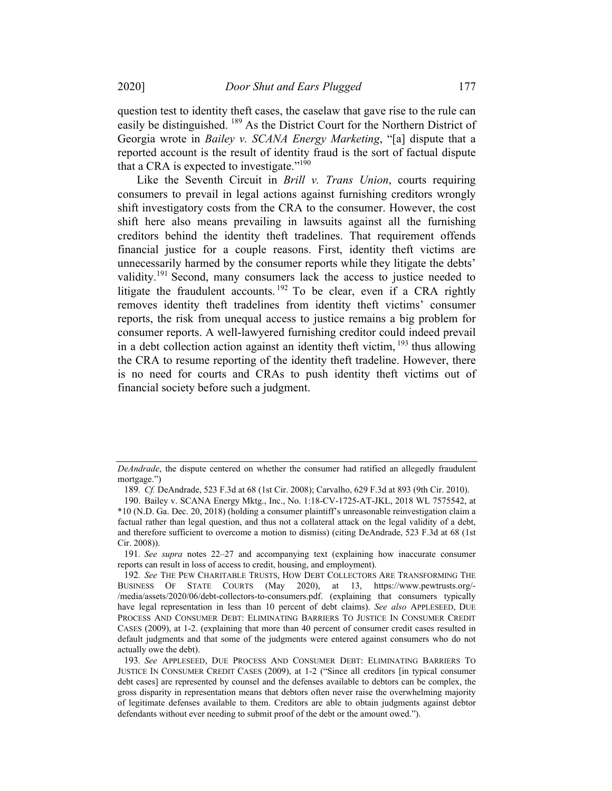question test to identity theft cases, the caselaw that gave rise to the rule can easily be distinguished. <sup>189</sup> As the District Court for the Northern District of Georgia wrote in Bailey v. SCANA Energy Marketing, "[a] dispute that a reported account is the result of identity fraud is the sort of factual dispute that a CRA is expected to investigate." $190$ 

Like the Seventh Circuit in Brill v. Trans Union, courts requiring consumers to prevail in legal actions against furnishing creditors wrongly shift investigatory costs from the CRA to the consumer. However, the cost shift here also means prevailing in lawsuits against all the furnishing creditors behind the identity theft tradelines. That requirement offends financial justice for a couple reasons. First, identity theft victims are unnecessarily harmed by the consumer reports while they litigate the debts' validity.<sup>191</sup> Second, many consumers lack the access to justice needed to litigate the fraudulent accounts.<sup>192</sup> To be clear, even if a CRA rightly removes identity theft tradelines from identity theft victims' consumer reports, the risk from unequal access to justice remains a big problem for consumer reports. A well-lawyered furnishing creditor could indeed prevail in a debt collection action against an identity theft victim, <sup>193</sup> thus allowing the CRA to resume reporting of the identity theft tradeline. However, there is no need for courts and CRAs to push identity theft victims out of financial society before such a judgment.

DeAndrade, the dispute centered on whether the consumer had ratified an allegedly fraudulent mortgage.")

<sup>189</sup>. Cf. DeAndrade, 523 F.3d at 68 (1st Cir. 2008); Carvalho, 629 F.3d at 893 (9th Cir. 2010).

<sup>190.</sup> Bailey v. SCANA Energy Mktg., Inc., No. 1:18-CV-1725-AT-JKL, 2018 WL 7575542, at \*10 (N.D. Ga. Dec. 20, 2018) (holding a consumer plaintiff's unreasonable reinvestigation claim a factual rather than legal question, and thus not a collateral attack on the legal validity of a debt, and therefore sufficient to overcome a motion to dismiss) (citing DeAndrade, 523 F.3d at 68 (1st Cir. 2008)).

<sup>191</sup>. See supra notes 22–27 and accompanying text (explaining how inaccurate consumer reports can result in loss of access to credit, housing, and employment).

<sup>192</sup>. See THE PEW CHARITABLE TRUSTS, HOW DEBT COLLECTORS ARE TRANSFORMING THE BUSINESS OF STATE COURTS (May 2020), at 13, https://www.pewtrusts.org/- /media/assets/2020/06/debt-collectors-to-consumers.pdf. (explaining that consumers typically have legal representation in less than 10 percent of debt claims). See also APPLESEED, DUE PROCESS AND CONSUMER DEBT: ELIMINATING BARRIERS TO JUSTICE IN CONSUMER CREDIT CASES (2009), at 1-2. (explaining that more than 40 percent of consumer credit cases resulted in default judgments and that some of the judgments were entered against consumers who do not actually owe the debt).

<sup>193</sup>. See APPLESEED, DUE PROCESS AND CONSUMER DEBT: ELIMINATING BARRIERS TO JUSTICE IN CONSUMER CREDIT CASES (2009), at 1-2 ("Since all creditors [in typical consumer debt cases] are represented by counsel and the defenses available to debtors can be complex, the gross disparity in representation means that debtors often never raise the overwhelming majority of legitimate defenses available to them. Creditors are able to obtain judgments against debtor defendants without ever needing to submit proof of the debt or the amount owed.").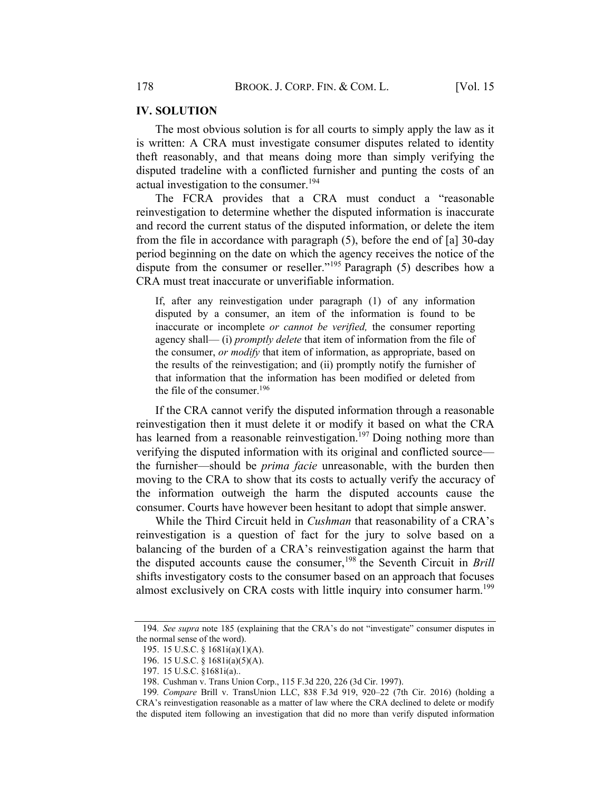#### **IV. SOLUTION**

The most obvious solution is for all courts to simply apply the law as it is written: A CRA must investigate consumer disputes related to identity theft reasonably, and that means doing more than simply verifying the disputed tradeline with a conflicted furnisher and punting the costs of an actual investigation to the consumer.<sup>194</sup>

The FCRA provides that a CRA must conduct a "reasonable reinvestigation to determine whether the disputed information is inaccurate and record the current status of the disputed information, or delete the item from the file in accordance with paragraph (5), before the end of [a] 30-day period beginning on the date on which the agency receives the notice of the dispute from the consumer or reseller."<sup>195</sup> Paragraph (5) describes how a CRA must treat inaccurate or unverifiable information.

If, after any reinvestigation under paragraph (1) of any information disputed by a consumer, an item of the information is found to be inaccurate or incomplete or cannot be verified, the consumer reporting agency shall— (i) *promptly delete* that item of information from the file of the consumer, *or modify* that item of information, as appropriate, based on the results of the reinvestigation; and (ii) promptly notify the furnisher of that information that the information has been modified or deleted from the file of the consumer. 196

If the CRA cannot verify the disputed information through a reasonable reinvestigation then it must delete it or modify it based on what the CRA has learned from a reasonable reinvestigation.<sup>197</sup> Doing nothing more than verifying the disputed information with its original and conflicted source the furnisher—should be *prima facie* unreasonable, with the burden then moving to the CRA to show that its costs to actually verify the accuracy of the information outweigh the harm the disputed accounts cause the consumer. Courts have however been hesitant to adopt that simple answer.

While the Third Circuit held in *Cushman* that reasonability of a CRA's reinvestigation is a question of fact for the jury to solve based on a balancing of the burden of a CRA's reinvestigation against the harm that the disputed accounts cause the consumer,<sup>198</sup> the Seventh Circuit in *Brill* shifts investigatory costs to the consumer based on an approach that focuses almost exclusively on CRA costs with little inquiry into consumer harm.<sup>199</sup>

<sup>194</sup>. See supra note 185 (explaining that the CRA's do not "investigate" consumer disputes in the normal sense of the word).

<sup>195.</sup> 15 U.S.C. § 1681i(a)(1)(A).

<sup>196.</sup> 15 U.S.C. § 1681i(a)(5)(A).

<sup>197.</sup> 15 U.S.C. §1681i(a)..

<sup>198.</sup> Cushman v. Trans Union Corp., 115 F.3d 220, 226 (3d Cir. 1997).

<sup>199</sup>. Compare Brill v. TransUnion LLC, 838 F.3d 919, 920–22 (7th Cir. 2016) (holding a CRA's reinvestigation reasonable as a matter of law where the CRA declined to delete or modify the disputed item following an investigation that did no more than verify disputed information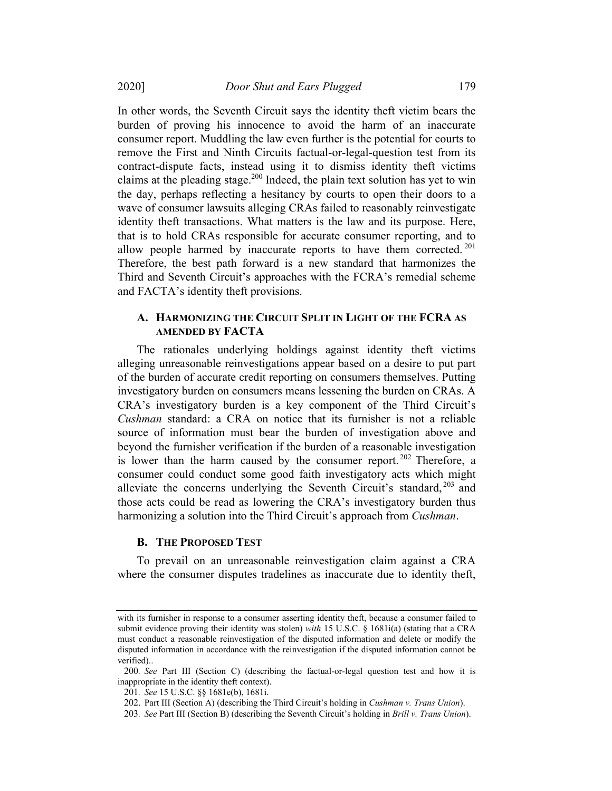In other words, the Seventh Circuit says the identity theft victim bears the burden of proving his innocence to avoid the harm of an inaccurate consumer report. Muddling the law even further is the potential for courts to remove the First and Ninth Circuits factual-or-legal-question test from its contract-dispute facts, instead using it to dismiss identity theft victims claims at the pleading stage.<sup>200</sup> Indeed, the plain text solution has yet to win the day, perhaps reflecting a hesitancy by courts to open their doors to a wave of consumer lawsuits alleging CRAs failed to reasonably reinvestigate identity theft transactions. What matters is the law and its purpose. Here, that is to hold CRAs responsible for accurate consumer reporting, and to allow people harmed by inaccurate reports to have them corrected.<sup>201</sup> Therefore, the best path forward is a new standard that harmonizes the Third and Seventh Circuit's approaches with the FCRA's remedial scheme and FACTA's identity theft provisions.

# A. HARMONIZING THE CIRCUIT SPLIT IN LIGHT OF THE FCRA AS **AMENDED BY FACTA**

The rationales underlying holdings against identity theft victims alleging unreasonable reinvestigations appear based on a desire to put part of the burden of accurate credit reporting on consumers themselves. Putting investigatory burden on consumers means lessening the burden on CRAs. A CRA's investigatory burden is a key component of the Third Circuit's Cushman standard: a CRA on notice that its furnisher is not a reliable source of information must bear the burden of investigation above and beyond the furnisher verification if the burden of a reasonable investigation is lower than the harm caused by the consumer report.  $202$  Therefore, a consumer could conduct some good faith investigatory acts which might alleviate the concerns underlying the Seventh Circuit's standard, <sup>203</sup> and those acts could be read as lowering the CRA's investigatory burden thus harmonizing a solution into the Third Circuit's approach from Cushman.

#### **B.** THE PROPOSED TEST

To prevail on an unreasonable reinvestigation claim against a CRA where the consumer disputes tradelines as inaccurate due to identity theft,

with its furnisher in response to a consumer asserting identity theft, because a consumer failed to submit evidence proving their identity was stolen) with 15 U.S.C. § 1681i(a) (stating that a CRA must conduct a reasonable reinvestigation of the disputed information and delete or modify the disputed information in accordance with the reinvestigation if the disputed information cannot be verified)..

<sup>200</sup>. See Part III (Section C) (describing the factual-or-legal question test and how it is inappropriate in the identity theft context).

<sup>201</sup>. See 15 U.S.C. §§ 1681e(b), 1681i.

<sup>202.</sup> Part III (Section A) (describing the Third Circuit's holding in Cushman v. Trans Union).

<sup>203</sup>. See Part III (Section B) (describing the Seventh Circuit's holding in Brill v. Trans Union).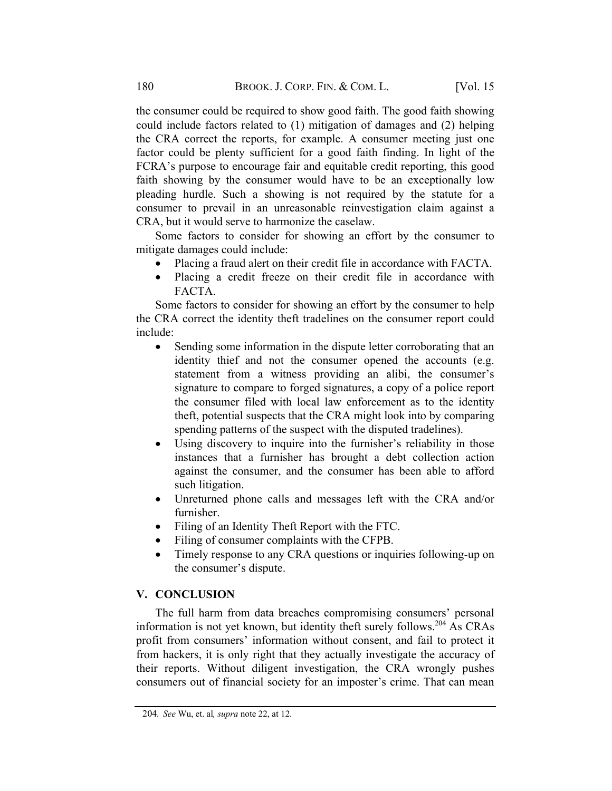the consumer could be required to show good faith. The good faith showing could include factors related to (1) mitigation of damages and (2) helping the CRA correct the reports, for example. A consumer meeting just one factor could be plenty sufficient for a good faith finding. In light of the FCRA's purpose to encourage fair and equitable credit reporting, this good faith showing by the consumer would have to be an exceptionally low pleading hurdle. Such a showing is not required by the statute for a consumer to prevail in an unreasonable reinvestigation claim against a CRA, but it would serve to harmonize the caselaw.

Some factors to consider for showing an effort by the consumer to mitigate damages could include:

- Placing a fraud alert on their credit file in accordance with FACTA.
- Placing a credit freeze on their credit file in accordance with FACTA.

Some factors to consider for showing an effort by the consumer to help the CRA correct the identity theft tradelines on the consumer report could include:

- Sending some information in the dispute letter corroborating that an identity thief and not the consumer opened the accounts (e.g. statement from a witness providing an alibi, the consumer's signature to compare to forged signatures, a copy of a police report the consumer filed with local law enforcement as to the identity theft, potential suspects that the CRA might look into by comparing spending patterns of the suspect with the disputed tradelines).
- Using discovery to inquire into the furnisher's reliability in those instances that a furnisher has brought a debt collection action against the consumer, and the consumer has been able to afford such litigation.
- Unreturned phone calls and messages left with the CRA and/or furnisher.
- Filing of an Identity Theft Report with the FTC.
- Filing of consumer complaints with the CFPB.
- Timely response to any CRA questions or inquiries following-up on the consumer's dispute.

#### **V. CONCLUSION**

The full harm from data breaches compromising consumers' personal information is not yet known, but identity theft surely follows.<sup>204</sup> As CRAs profit from consumers' information without consent, and fail to protect it from hackers, it is only right that they actually investigate the accuracy of their reports. Without diligent investigation, the CRA wrongly pushes consumers out of financial society for an imposter's crime. That can mean

<sup>204</sup>. See Wu, et. al, supra note 22, at 12.